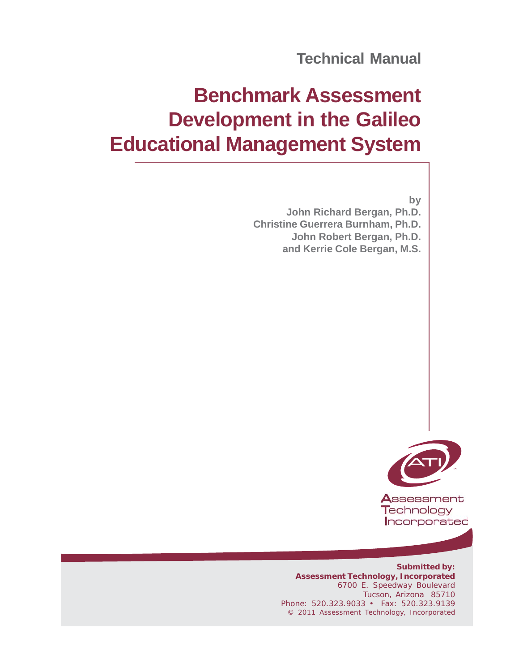# **Benchmark Assessment Development in the Galileo Educational Management System**

**by John Richard Bergan, Ph.D. Christine Guerrera Burnham, Ph.D. John Robert Bergan, Ph.D. and Kerrie Cole Bergan, M.S.**



Assessment Technology Incorporated

**Submitted by: Assessment Technology, Incorporated** 6700 E. Speedway Boulevard Tucson, Arizona 85710 Phone: 520.323.9033 • Fax: 520.323.9139 © 2011 Assessment Technology, Incorporated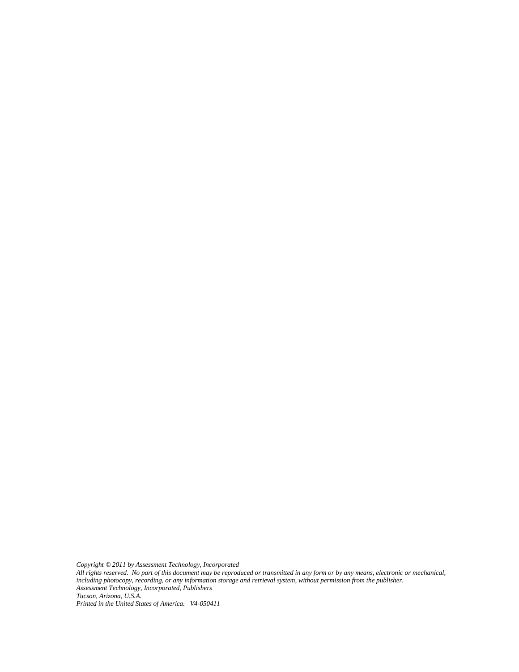*Copyright © 2011 by Assessment Technology, Incorporated All rights reserved. No part of this document may be reproduced or transmitted in any form or by any means, electronic or mechanical, including photocopy, recording, or any information storage and retrieval system, without permission from the publisher. Assessment Technology, Incorporated, Publishers Tucson, Arizona, U.S.A. Printed in the United States of America. V4-050411*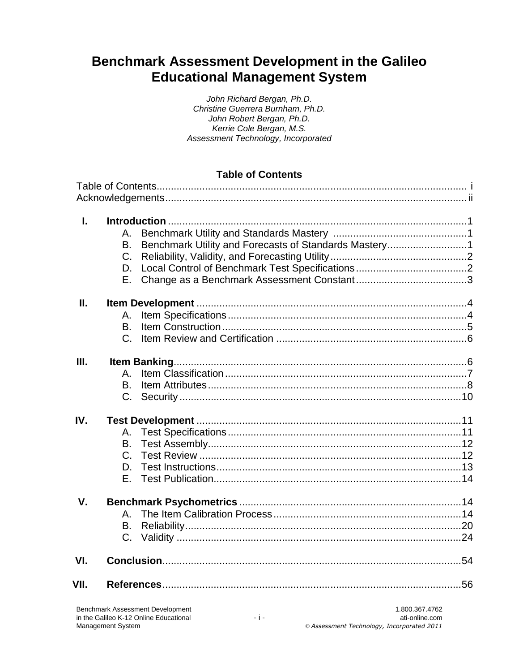# Benchmark Assessment Development in the Galileo **Educational Management System**

| John Richard Bergan, Ph.D.          |
|-------------------------------------|
| Christine Guerrera Burnham, Ph.D.   |
| John Robert Bergan, Ph.D.           |
| Kerrie Cole Bergan, M.S.            |
| Assessment Technology, Incorporated |

### **Table of Contents**

| $\mathbf{L}$ |                                                             |                |
|--------------|-------------------------------------------------------------|----------------|
|              | Α.                                                          |                |
|              | Benchmark Utility and Forecasts of Standards Mastery1<br>В. |                |
|              | C.                                                          |                |
|              | D.                                                          |                |
|              |                                                             |                |
| П.           |                                                             |                |
|              | Α.                                                          |                |
|              | B.                                                          |                |
|              |                                                             |                |
|              |                                                             |                |
| III.         |                                                             |                |
|              | $\mathsf{A}_{-}$                                            |                |
|              | <b>B.</b>                                                   |                |
|              |                                                             |                |
|              |                                                             |                |
| IV.          |                                                             |                |
|              | А.                                                          |                |
|              | В.                                                          |                |
|              | $C_{1}$                                                     |                |
|              | D.                                                          |                |
|              | Е.                                                          |                |
| V.           |                                                             |                |
|              |                                                             |                |
|              |                                                             |                |
|              | B.                                                          |                |
|              | $C_{1}$                                                     |                |
| VI.          |                                                             |                |
| VII.         |                                                             |                |
|              | <b>Benchmark Assessment Development</b>                     | 1.800.367.4762 |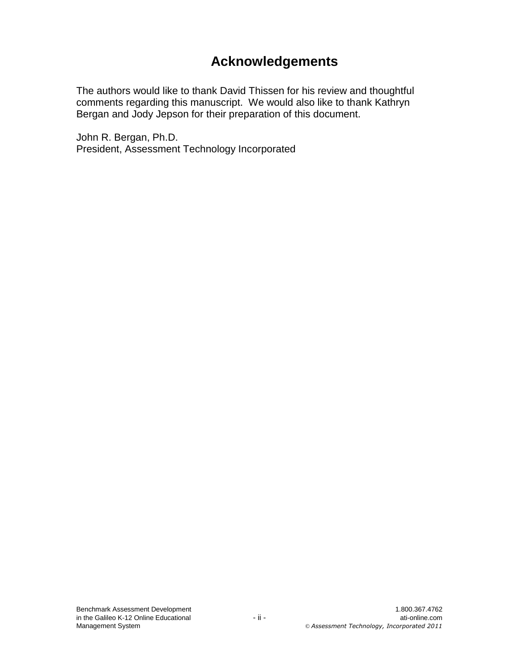# **Acknowledgements**

The authors would like to thank David Thissen for his review and thoughtful comments regarding this manuscript. We would also like to thank Kathryn Bergan and Jody Jepson for their preparation of this document.

John R. Bergan, Ph.D. President, Assessment Technology Incorporated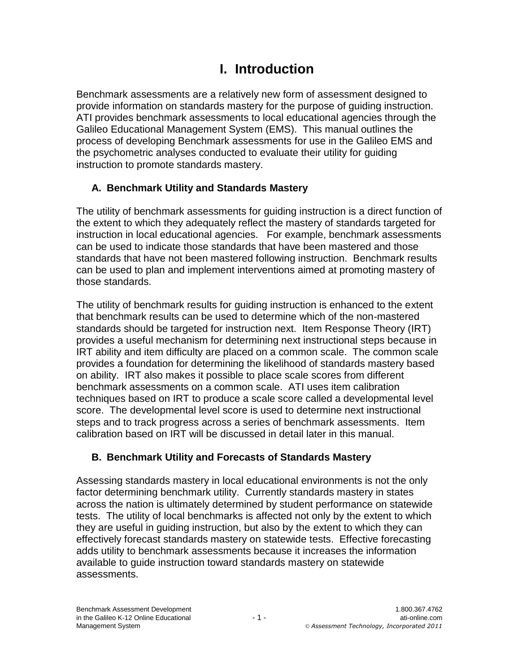# **I. Introduction**

Benchmark assessments are a relatively new form of assessment designed to provide information on standards mastery for the purpose of guiding instruction. ATI provides benchmark assessments to local educational agencies through the Galileo Educational Management System (EMS). This manual outlines the process of developing Benchmark assessments for use in the Galileo EMS and the psychometric analyses conducted to evaluate their utility for guiding instruction to promote standards mastery.

# **A. Benchmark Utility and Standards Mastery**

The utility of benchmark assessments for guiding instruction is a direct function of the extent to which they adequately reflect the mastery of standards targeted for instruction in local educational agencies. For example, benchmark assessments can be used to indicate those standards that have been mastered and those standards that have not been mastered following instruction. Benchmark results can be used to plan and implement interventions aimed at promoting mastery of those standards.

The utility of benchmark results for guiding instruction is enhanced to the extent that benchmark results can be used to determine which of the non-mastered standards should be targeted for instruction next. Item Response Theory (IRT) provides a useful mechanism for determining next instructional steps because in IRT ability and item difficulty are placed on a common scale. The common scale provides a foundation for determining the likelihood of standards mastery based on ability. IRT also makes it possible to place scale scores from different benchmark assessments on a common scale. ATI uses item calibration techniques based on IRT to produce a scale score called a developmental level score. The developmental level score is used to determine next instructional steps and to track progress across a series of benchmark assessments. Item calibration based on IRT will be discussed in detail later in this manual.

# **B. Benchmark Utility and Forecasts of Standards Mastery**

Assessing standards mastery in local educational environments is not the only factor determining benchmark utility. Currently standards mastery in states across the nation is ultimately determined by student performance on statewide tests. The utility of local benchmarks is affected not only by the extent to which they are useful in guiding instruction, but also by the extent to which they can effectively forecast standards mastery on statewide tests. Effective forecasting adds utility to benchmark assessments because it increases the information available to guide instruction toward standards mastery on statewide assessments.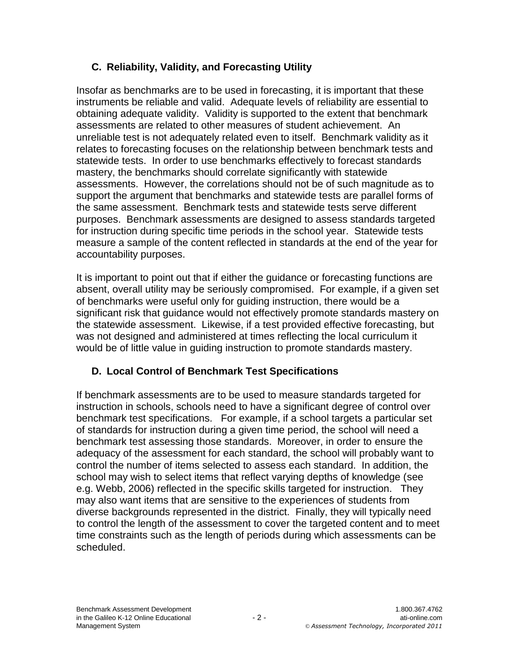# **C. Reliability, Validity, and Forecasting Utility**

Insofar as benchmarks are to be used in forecasting, it is important that these instruments be reliable and valid. Adequate levels of reliability are essential to obtaining adequate validity. Validity is supported to the extent that benchmark assessments are related to other measures of student achievement. An unreliable test is not adequately related even to itself. Benchmark validity as it relates to forecasting focuses on the relationship between benchmark tests and statewide tests. In order to use benchmarks effectively to forecast standards mastery, the benchmarks should correlate significantly with statewide assessments. However, the correlations should not be of such magnitude as to support the argument that benchmarks and statewide tests are parallel forms of the same assessment. Benchmark tests and statewide tests serve different purposes. Benchmark assessments are designed to assess standards targeted for instruction during specific time periods in the school year. Statewide tests measure a sample of the content reflected in standards at the end of the year for accountability purposes.

It is important to point out that if either the guidance or forecasting functions are absent, overall utility may be seriously compromised. For example, if a given set of benchmarks were useful only for guiding instruction, there would be a significant risk that guidance would not effectively promote standards mastery on the statewide assessment. Likewise, if a test provided effective forecasting, but was not designed and administered at times reflecting the local curriculum it would be of little value in guiding instruction to promote standards mastery.

# **D. Local Control of Benchmark Test Specifications**

If benchmark assessments are to be used to measure standards targeted for instruction in schools, schools need to have a significant degree of control over benchmark test specifications. For example, if a school targets a particular set of standards for instruction during a given time period, the school will need a benchmark test assessing those standards. Moreover, in order to ensure the adequacy of the assessment for each standard, the school will probably want to control the number of items selected to assess each standard. In addition, the school may wish to select items that reflect varying depths of knowledge (see e.g. Webb, 2006) reflected in the specific skills targeted for instruction. They may also want items that are sensitive to the experiences of students from diverse backgrounds represented in the district. Finally, they will typically need to control the length of the assessment to cover the targeted content and to meet time constraints such as the length of periods during which assessments can be scheduled.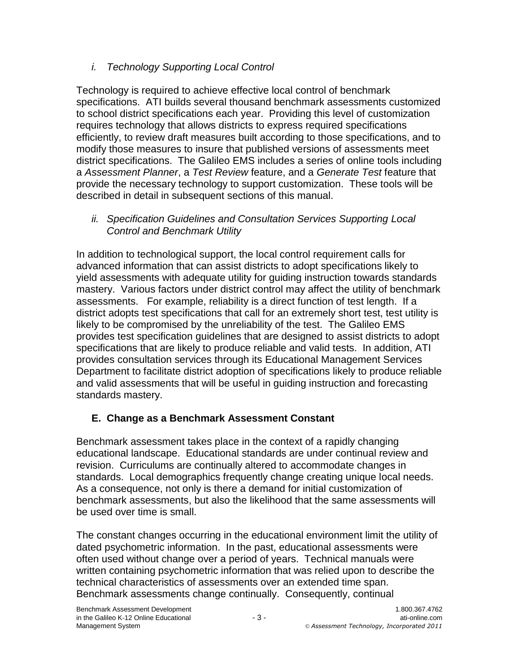# *i. Technology Supporting Local Control*

Technology is required to achieve effective local control of benchmark specifications. ATI builds several thousand benchmark assessments customized to school district specifications each year. Providing this level of customization requires technology that allows districts to express required specifications efficiently, to review draft measures built according to those specifications, and to modify those measures to insure that published versions of assessments meet district specifications. The Galileo EMS includes a series of online tools including a *Assessment Planner*, a *Test Review* feature, and a *Generate Test* feature that provide the necessary technology to support customization. These tools will be described in detail in subsequent sections of this manual.

## *ii. Specification Guidelines and Consultation Services Supporting Local Control and Benchmark Utility*

In addition to technological support, the local control requirement calls for advanced information that can assist districts to adopt specifications likely to yield assessments with adequate utility for guiding instruction towards standards mastery. Various factors under district control may affect the utility of benchmark assessments. For example, reliability is a direct function of test length. If a district adopts test specifications that call for an extremely short test, test utility is likely to be compromised by the unreliability of the test. The Galileo EMS provides test specification guidelines that are designed to assist districts to adopt specifications that are likely to produce reliable and valid tests. In addition, ATI provides consultation services through its Educational Management Services Department to facilitate district adoption of specifications likely to produce reliable and valid assessments that will be useful in guiding instruction and forecasting standards mastery.

# **E. Change as a Benchmark Assessment Constant**

Benchmark assessment takes place in the context of a rapidly changing educational landscape. Educational standards are under continual review and revision. Curriculums are continually altered to accommodate changes in standards. Local demographics frequently change creating unique local needs. As a consequence, not only is there a demand for initial customization of benchmark assessments, but also the likelihood that the same assessments will be used over time is small.

The constant changes occurring in the educational environment limit the utility of dated psychometric information. In the past, educational assessments were often used without change over a period of years. Technical manuals were written containing psychometric information that was relied upon to describe the technical characteristics of assessments over an extended time span. Benchmark assessments change continually. Consequently, continual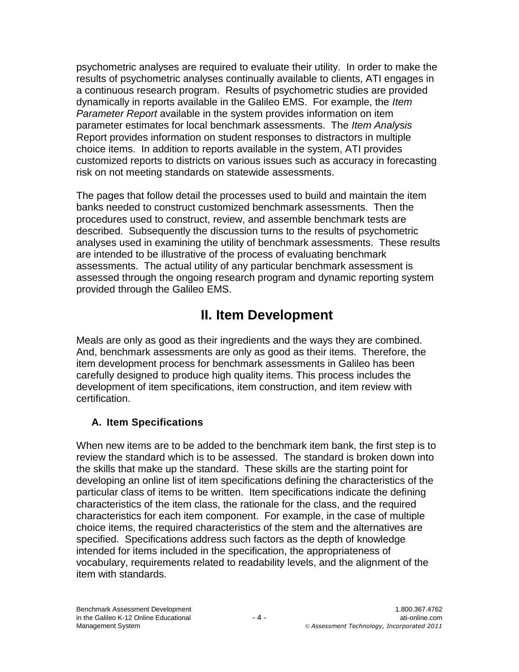psychometric analyses are required to evaluate their utility. In order to make the results of psychometric analyses continually available to clients, ATI engages in a continuous research program. Results of psychometric studies are provided dynamically in reports available in the Galileo EMS. For example, the *Item Parameter Report* available in the system provides information on item parameter estimates for local benchmark assessments. The *Item Analysis*  Report provides information on student responses to distractors in multiple choice items. In addition to reports available in the system, ATI provides customized reports to districts on various issues such as accuracy in forecasting risk on not meeting standards on statewide assessments.

The pages that follow detail the processes used to build and maintain the item banks needed to construct customized benchmark assessments. Then the procedures used to construct, review, and assemble benchmark tests are described. Subsequently the discussion turns to the results of psychometric analyses used in examining the utility of benchmark assessments. These results are intended to be illustrative of the process of evaluating benchmark assessments. The actual utility of any particular benchmark assessment is assessed through the ongoing research program and dynamic reporting system provided through the Galileo EMS.

# **II. Item Development**

Meals are only as good as their ingredients and the ways they are combined. And, benchmark assessments are only as good as their items. Therefore, the item development process for benchmark assessments in Galileo has been carefully designed to produce high quality items. This process includes the development of item specifications, item construction, and item review with certification.

# **A. Item Specifications**

When new items are to be added to the benchmark item bank, the first step is to review the standard which is to be assessed. The standard is broken down into the skills that make up the standard. These skills are the starting point for developing an online list of item specifications defining the characteristics of the particular class of items to be written. Item specifications indicate the defining characteristics of the item class, the rationale for the class, and the required characteristics for each item component. For example, in the case of multiple choice items, the required characteristics of the stem and the alternatives are specified. Specifications address such factors as the depth of knowledge intended for items included in the specification, the appropriateness of vocabulary, requirements related to readability levels, and the alignment of the item with standards.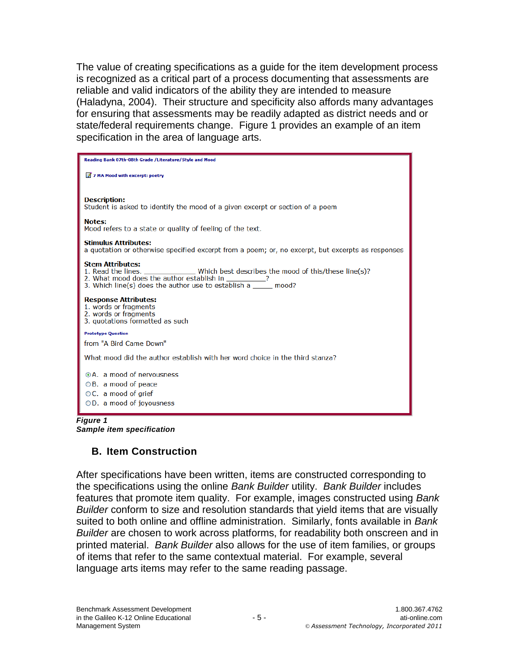The value of creating specifications as a guide for the item development process is recognized as a critical part of a process documenting that assessments are reliable and valid indicators of the ability they are intended to measure (Haladyna, 2004). Their structure and specificity also affords many advantages for ensuring that assessments may be readily adapted as district needs and or state/federal requirements change. Figure 1 provides an example of an item specification in the area of language arts.

| Reading Bank 07th-08th Grade /Literature/Style and Mood                                                                                                                                                                                          |
|--------------------------------------------------------------------------------------------------------------------------------------------------------------------------------------------------------------------------------------------------|
| 7 7 MA Mood with excerpt: poetry                                                                                                                                                                                                                 |
| <b>Description:</b><br>Student is asked to identify the mood of a given excerpt or section of a poem                                                                                                                                             |
| <b>Notes:</b><br>Mood refers to a state or quality of feeling of the text.                                                                                                                                                                       |
| <b>Stimulus Attributes:</b><br>a quotation or otherwise specified excerpt from a poem; or, no excerpt, but excerpts as responses                                                                                                                 |
| <b>Stem Attributes:</b><br>1. Read the lines. _______________Which best describes the mood of this/these line(s)?<br>2. What mood does the author establish in __________?<br>3. Which line(s) does the author use to establish $a$ ______ mood? |
| <b>Response Attributes:</b><br>1. words or fragments<br>2. words or fragments<br>3. quotations formatted as such                                                                                                                                 |
| <b>Prototype Question</b>                                                                                                                                                                                                                        |
| from "A Bird Came Down"                                                                                                                                                                                                                          |
| What mood did the author establish with her word choice in the third stanza?                                                                                                                                                                     |
| ⊙A. a mood of nervousness                                                                                                                                                                                                                        |
| $\bigcirc$ B. a mood of peace                                                                                                                                                                                                                    |
| $\circ$ C. a mood of grief                                                                                                                                                                                                                       |
| $\bigcirc$ D. a mood of joyousness                                                                                                                                                                                                               |

*Figure 1 Sample item specification*

# **B. Item Construction**

After specifications have been written, items are constructed corresponding to the specifications using the online *Bank Builder* utility. *Bank Builder* includes features that promote item quality. For example, images constructed using *Bank Builder* conform to size and resolution standards that yield items that are visually suited to both online and offline administration. Similarly, fonts available in *Bank Builder* are chosen to work across platforms, for readability both onscreen and in printed material. *Bank Builder* also allows for the use of item families, or groups of items that refer to the same contextual material. For example, several language arts items may refer to the same reading passage.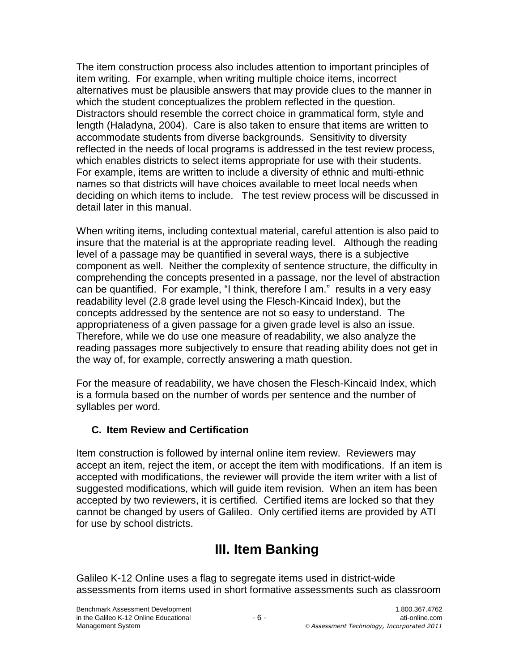The item construction process also includes attention to important principles of item writing. For example, when writing multiple choice items, incorrect alternatives must be plausible answers that may provide clues to the manner in which the student conceptualizes the problem reflected in the question. Distractors should resemble the correct choice in grammatical form, style and length (Haladyna, 2004). Care is also taken to ensure that items are written to accommodate students from diverse backgrounds. Sensitivity to diversity reflected in the needs of local programs is addressed in the test review process, which enables districts to select items appropriate for use with their students. For example, items are written to include a diversity of ethnic and multi-ethnic names so that districts will have choices available to meet local needs when deciding on which items to include. The test review process will be discussed in detail later in this manual.

When writing items, including contextual material, careful attention is also paid to insure that the material is at the appropriate reading level. Although the reading level of a passage may be quantified in several ways, there is a subjective component as well. Neither the complexity of sentence structure, the difficulty in comprehending the concepts presented in a passage, nor the level of abstraction can be quantified. For example, "I think, therefore I am." results in a very easy readability level (2.8 grade level using the Flesch-Kincaid Index), but the concepts addressed by the sentence are not so easy to understand. The appropriateness of a given passage for a given grade level is also an issue. Therefore, while we do use one measure of readability, we also analyze the reading passages more subjectively to ensure that reading ability does not get in the way of, for example, correctly answering a math question.

For the measure of readability, we have chosen the Flesch-Kincaid Index, which is a formula based on the number of words per sentence and the number of syllables per word.

# **C. Item Review and Certification**

Item construction is followed by internal online item review. Reviewers may accept an item, reject the item, or accept the item with modifications. If an item is accepted with modifications, the reviewer will provide the item writer with a list of suggested modifications, which will guide item revision. When an item has been accepted by two reviewers, it is certified. Certified items are locked so that they cannot be changed by users of Galileo. Only certified items are provided by ATI for use by school districts.

# **III. Item Banking**

Galileo K-12 Online uses a flag to segregate items used in district-wide assessments from items used in short formative assessments such as classroom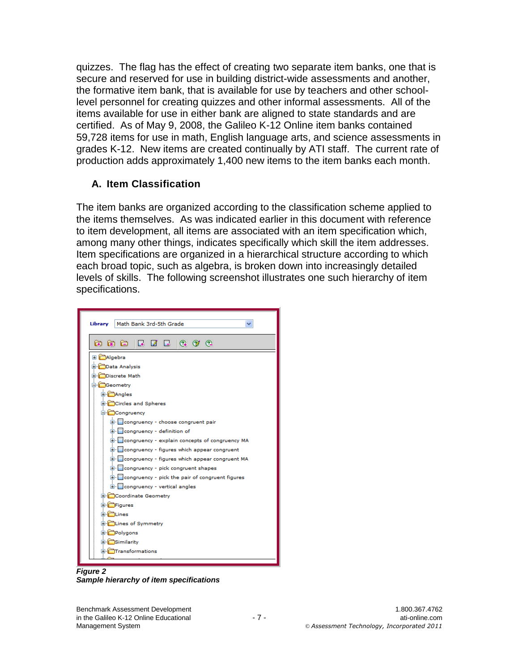quizzes. The flag has the effect of creating two separate item banks, one that is secure and reserved for use in building district-wide assessments and another, the formative item bank, that is available for use by teachers and other schoollevel personnel for creating quizzes and other informal assessments. All of the items available for use in either bank are aligned to state standards and are certified. As of May 9, 2008, the Galileo K-12 Online item banks contained 59,728 items for use in math, English language arts, and science assessments in grades K-12. New items are created continually by ATI staff. The current rate of production adds approximately 1,400 new items to the item banks each month.

# **A. Item Classification**

The item banks are organized according to the classification scheme applied to the items themselves. As was indicated earlier in this document with reference to item development, all items are associated with an item specification which, among many other things, indicates specifically which skill the item addresses. Item specifications are organized in a hierarchical structure according to which each broad topic, such as algebra, is broken down into increasingly detailed levels of skills. The following screenshot illustrates one such hierarchy of item specifications.

| Math Bank 3rd-5th Grade<br>Library                 |
|----------------------------------------------------|
| G G G E 7 E 4 9 2                                  |
| <b>E Algebra</b>                                   |
| <b>E</b> Data Analysis                             |
| <b>E</b> Discrete Math                             |
| G Geometry                                         |
| <b>E</b> Angles                                    |
| <b>E</b> Circles and Spheres                       |
| G Congruency                                       |
| E- congruency - choose congruent pair              |
| E congruency - definition of                       |
| E- congruency - explain concepts of congruency MA  |
| E- congruency - figures which appear congruent     |
| E- congruency - figures which appear congruent MA  |
| E congruency - pick congruent shapes               |
| E- congruency - pick the pair of congruent figures |
| <b>E</b> - congruency - vertical angles            |
| <b>E</b> Coordinate Geometry                       |
| <b>E</b> - <b>E</b> Figures                        |
| <b>El Coltines</b>                                 |
| E <b>C</b> Lines of Symmetry                       |
| <b>E</b> Polygons                                  |
| <b>El Similarity</b>                               |
| <b>El Citransformations</b>                        |

*Figure 2 Sample hierarchy of item specifications*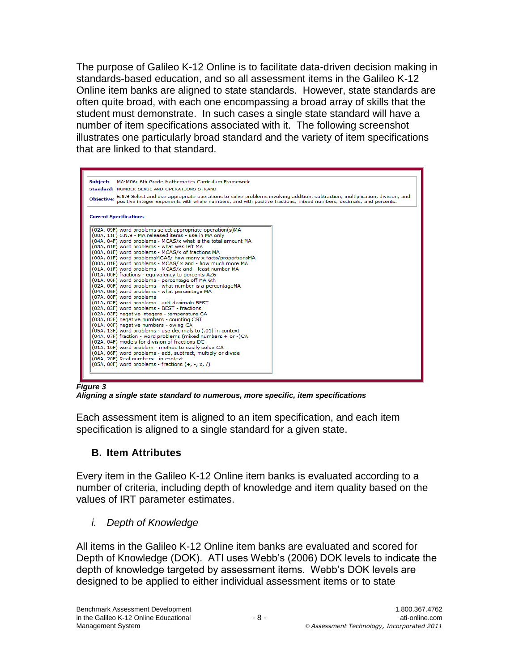The purpose of Galileo K-12 Online is to facilitate data-driven decision making in standards-based education, and so all assessment items in the Galileo K-12 Online item banks are aligned to state standards. However, state standards are often quite broad, with each one encompassing a broad array of skills that the student must demonstrate. In such cases a single state standard will have a number of item specifications associated with it. The following screenshot illustrates one particularly broad standard and the variety of item specifications that are linked to that standard.

| Subject:          | MA-M06: 6th Grade Mathematics Curriculum Framework                                                                                                                                                                                                                                                                                                                                                                                                                                                                                                                                                                                                                                                                                                                                                                                                                                                                                                                                                                                                                                                                                                                                                                                                                                                                                                                                 |  |  |  |  |  |  |  |
|-------------------|------------------------------------------------------------------------------------------------------------------------------------------------------------------------------------------------------------------------------------------------------------------------------------------------------------------------------------------------------------------------------------------------------------------------------------------------------------------------------------------------------------------------------------------------------------------------------------------------------------------------------------------------------------------------------------------------------------------------------------------------------------------------------------------------------------------------------------------------------------------------------------------------------------------------------------------------------------------------------------------------------------------------------------------------------------------------------------------------------------------------------------------------------------------------------------------------------------------------------------------------------------------------------------------------------------------------------------------------------------------------------------|--|--|--|--|--|--|--|
|                   | Standard: NUMBER SENSE AND OPERATIONS STRAND                                                                                                                                                                                                                                                                                                                                                                                                                                                                                                                                                                                                                                                                                                                                                                                                                                                                                                                                                                                                                                                                                                                                                                                                                                                                                                                                       |  |  |  |  |  |  |  |
| <b>Objective:</b> | 6.N.9 Select and use appropriate operations to solve problems involving addition, subtraction, multiplication, division, and<br>positive integer exponents with whole numbers, and with positive fractions, mixed numbers, decimals, and percents.                                                                                                                                                                                                                                                                                                                                                                                                                                                                                                                                                                                                                                                                                                                                                                                                                                                                                                                                                                                                                                                                                                                                 |  |  |  |  |  |  |  |
|                   | <b>Current Specifications</b>                                                                                                                                                                                                                                                                                                                                                                                                                                                                                                                                                                                                                                                                                                                                                                                                                                                                                                                                                                                                                                                                                                                                                                                                                                                                                                                                                      |  |  |  |  |  |  |  |
|                   | (02A, 09F) word problems select appropriate operation(s)MA<br>(00A, 11F) 6.N.9 - MA released items - use in MA only<br>(04A, 04F) word problems - MCAS/x what is the total amount MA<br>(03A, 01F) word problems - what was left MA<br>(00A, 01F) word problems - MCAS/x of fractions MA<br>(00A, 01F) word problemsMCAS/ how many x facts/proportionsMA<br>(00A, 01F) word problems - MCAS/ x and - how much more MA<br>(01A, 01F) word problems - MCAS/x and - least number MA<br>(01A, 00F) fractions - equivalency to percents AZ6<br>(01A, 00F) word problems - percentage off MA 6th<br>(02A, 00F) word problems - what number is a percentageMA<br>(04A, 06F) word problems - what percentage MA<br>(07A, 00F) word problems<br>(01A, 02F) word problems - add decimals BEST<br>(02A, 02F) word problems - BEST - fractions<br>(02A, 03F) negative integers - temperature CA<br>(03A, 02F) negative numbers - counting CST<br>(01A, 00F) negative numbers - owing CA<br>(05A, 13F) word problems - use decimals to (.01) in context<br>(04A, 07F) fraction - word problems (mixed numbers + or -)CA<br>(02A, 04F) models for division of fractions DC<br>(01A, 10F) word problem - method to easily solve CA<br>(01A, 06F) word problems - add, subtract, multiply or divide<br>(06A, 20F) Real numbers - in context<br>(05A, 00F) word problems - fractions $(+, -, x, /)$ |  |  |  |  |  |  |  |

*Figure 3*

*Aligning a single state standard to numerous, more specific, item specifications*

Each assessment item is aligned to an item specification, and each item specification is aligned to a single standard for a given state.

# **B. Item Attributes**

Every item in the Galileo K-12 Online item banks is evaluated according to a number of criteria, including depth of knowledge and item quality based on the values of IRT parameter estimates.

# *i. Depth of Knowledge*

All items in the Galileo K-12 Online item banks are evaluated and scored for Depth of Knowledge (DOK). ATI uses Webb's (2006) DOK levels to indicate the depth of knowledge targeted by assessment items. Webb's DOK levels are designed to be applied to either individual assessment items or to state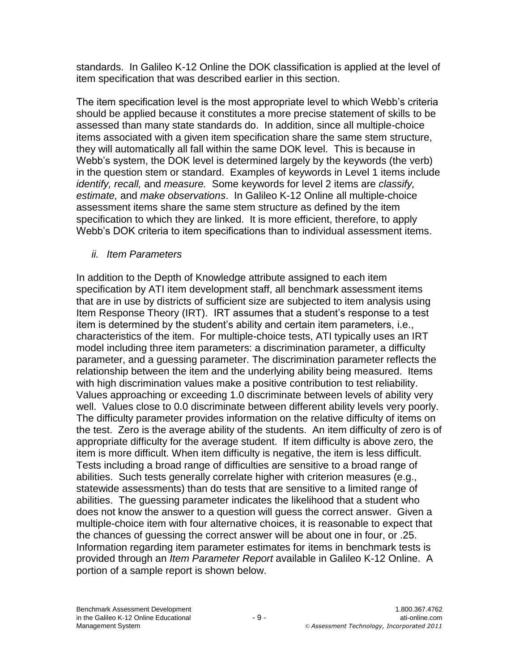standards. In Galileo K-12 Online the DOK classification is applied at the level of item specification that was described earlier in this section.

The item specification level is the most appropriate level to which Webb's criteria should be applied because it constitutes a more precise statement of skills to be assessed than many state standards do. In addition, since all multiple-choice items associated with a given item specification share the same stem structure, they will automatically all fall within the same DOK level. This is because in Webb's system, the DOK level is determined largely by the keywords (the verb) in the question stem or standard. Examples of keywords in Level 1 items include *identify, recall,* and *measure.* Some keywords for level 2 items are *classify, estimate,* and *make observations*. In Galileo K-12 Online all multiple-choice assessment items share the same stem structure as defined by the item specification to which they are linked. It is more efficient, therefore, to apply Webb's DOK criteria to item specifications than to individual assessment items.

*ii. Item Parameters*

In addition to the Depth of Knowledge attribute assigned to each item specification by ATI item development staff, all benchmark assessment items that are in use by districts of sufficient size are subjected to item analysis using Item Response Theory (IRT). IRT assumes that a student's response to a test item is determined by the student's ability and certain item parameters, i.e., characteristics of the item. For multiple-choice tests, ATI typically uses an IRT model including three item parameters: a discrimination parameter, a difficulty parameter, and a guessing parameter. The discrimination parameter reflects the relationship between the item and the underlying ability being measured. Items with high discrimination values make a positive contribution to test reliability. Values approaching or exceeding 1.0 discriminate between levels of ability very well. Values close to 0.0 discriminate between different ability levels very poorly. The difficulty parameter provides information on the relative difficulty of items on the test. Zero is the average ability of the students. An item difficulty of zero is of appropriate difficulty for the average student. If item difficulty is above zero, the item is more difficult. When item difficulty is negative, the item is less difficult. Tests including a broad range of difficulties are sensitive to a broad range of abilities. Such tests generally correlate higher with criterion measures (e.g., statewide assessments) than do tests that are sensitive to a limited range of abilities. The guessing parameter indicates the likelihood that a student who does not know the answer to a question will guess the correct answer. Given a multiple-choice item with four alternative choices, it is reasonable to expect that the chances of guessing the correct answer will be about one in four, or .25. Information regarding item parameter estimates for items in benchmark tests is provided through an *Item Parameter Report* available in Galileo K-12 Online. A portion of a sample report is shown below.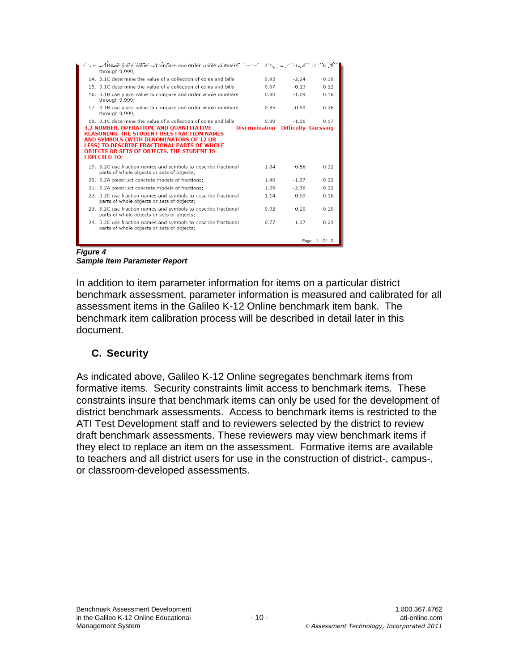| yed 'adında ile place value'value've compare-and order whole virtuoers " - - - - - 2:1 - برس - - 1 - - - - - -<br>through 9,999;                                   |                       |                            |                  |
|--------------------------------------------------------------------------------------------------------------------------------------------------------------------|-----------------------|----------------------------|------------------|
| 14. 3.1C determine the value of a collection of coins and bills                                                                                                    | 0.93                  | $-2.24$                    | 0.19             |
| 15. 3.1C determine the value of a collection of coins and bills                                                                                                    | 0.67                  | $-0.13$                    | 0.22             |
| 16. 3.1B use place value to compare and order whole numbers<br>through 9,999;                                                                                      | 0.80                  | $-1.09$                    | 0.16             |
| 17. 3.1B use place value to compare and order whole numbers<br>through 9,999;                                                                                      | 0.85                  | $-0.89$                    | 0.26             |
| 18. 3.1C determine the value of a collection of coins and bills                                                                                                    | 0.89                  | $-1.06$                    | 0.17             |
| 3.2 NUMBER, OPERATION, AND OUANTITATIVE<br><b>REASONING. THE STUDENT USES FRACTION NAMES</b>                                                                       | <b>Discrimination</b> | <b>Difficulty Guessing</b> |                  |
| AND SYMBOLS (WITH DENOMINATORS OF 12 OR<br><b>LESS) TO DESCRIBE FRACTIONAL PARTS OF WHOLE</b><br>OBJECTS OR SETS OF OBJECTS. THE STUDENT IS<br><b>EXPECTED TO:</b> |                       |                            |                  |
| 19. 3.2C use fraction names and symbols to describe fractional<br>parts of whole objects or sets of objects;                                                       | 1.04                  | $-0.56$                    | 0.22             |
| 20. 3.2A construct concrete models of fractions:                                                                                                                   | 1.40                  | $-1.07$                    | 0.22             |
| 21. 3.2A construct concrete models of fractions;                                                                                                                   | 1.29                  | $-2.36$                    | 0.22             |
| 22. 3.2C use fraction names and symbols to describe fractional<br>parts of whole objects or sets of objects;                                                       | 1.14                  | 0.69                       | 0.16             |
| 23. 3.2C use fraction names and symbols to describe fractional<br>parts of whole objects or sets of objects;                                                       | 0.92                  | 0.20                       | 0.20             |
| 24. 3.2C use fraction names and symbols to describe fractional<br>parts of whole objects or sets of objects;                                                       | 0.77                  | $-1.27$                    | 0.21             |
|                                                                                                                                                                    |                       |                            | Page 1<br>Of $3$ |

*Figure 4*

*Sample Item Parameter Report*

In addition to item parameter information for items on a particular district benchmark assessment, parameter information is measured and calibrated for all assessment items in the Galileo K-12 Online benchmark item bank. The benchmark item calibration process will be described in detail later in this document.

# **C. Security**

As indicated above, Galileo K-12 Online segregates benchmark items from formative items. Security constraints limit access to benchmark items. These constraints insure that benchmark items can only be used for the development of district benchmark assessments. Access to benchmark items is restricted to the ATI Test Development staff and to reviewers selected by the district to review draft benchmark assessments. These reviewers may view benchmark items if they elect to replace an item on the assessment. Formative items are available to teachers and all district users for use in the construction of district-, campus-, or classroom-developed assessments.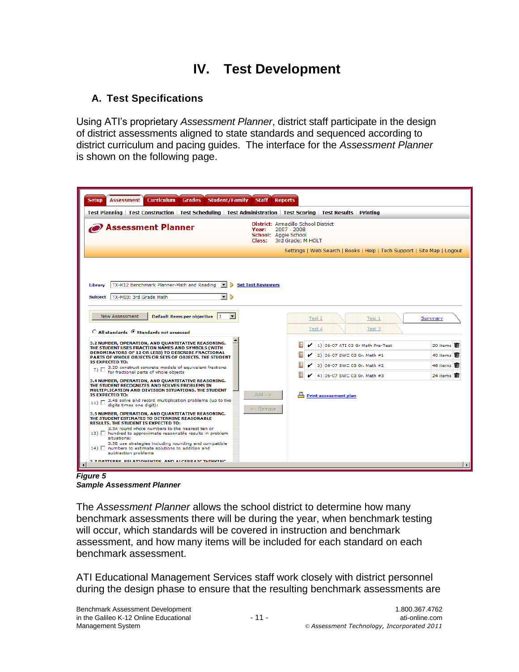# **IV. Test Development**

# **A. Test Specifications**

Using ATI's proprietary *Assessment Planner*, district staff participate in the design of district assessments aligned to state standards and sequenced according to district curriculum and pacing guides. The interface for the *Assessment Planner* is shown on the following page.

| Test Planning   Test Construction   Test Scheduling   Test Administration   Test Scoring   Test Results   Printing<br>District: Armadillo School District<br><b>Assessment Planner</b><br>2007 - 2008<br>Year:<br>School: Aggie School<br>3rd Grade: M HOLT<br>Class:<br>Settings   Web Search   Books   Help   Tech Support   Site Map   Logout<br>TX-K12 Benchmark Planner-Math and Reading<br><b>Set Test Reviewers</b><br>Library<br>Subject   TX-M03: 3rd Grade Math<br>$\mathbf{r}$<br>$\triangleright$<br>Default items per objective 1<br><b>New Assessment</b><br>Test 2<br>Test 1<br>Test 4<br>Test 3<br>$\circ$ All standards $\circ$ Standards not assessed<br>3.2 NUMBER, OPERATION, AND OUANTITATIVE REASONING.<br>腽<br>1) 06-07 ATI 03 Gr Math Pre-Test<br>THE STUDENT USES FRACTION NAMES AND SYMBOLS (WITH<br>DENOMINATORS OF 12 OR LESS) TO DESCRIBE FRACTIONAL<br>2) 06-07 SWC 03 Gr. Math #1<br>PARTS OF WHOLE OBJECTS OR SETS OF OBJECTS. THE STUDENT<br><b>IS EXPECTED TO:</b><br>3) 06-07 SWC 03 Gr. Math #2<br>7) $\Box$ 3.2D construct concrete models of equivalent fractions for fractional parts of whole objects<br>4) 06-07 SWC 03 Gr. Math #3<br>3.4 NUMBER, OPERATION, AND QUANTITATIVE REASONING.<br>THE STUDENT RECOGNIZES AND SOLVES PROBLEMS IN<br>MULTIPLICATION AND DIVISION SITUATIONS. THE STUDENT<br>$\leq -$ bbA<br><b>IS EXPECTED TO:</b><br><b>Print assessment plan</b><br>11) $\Box$ 3.4B solve and record multiplication problems (up to two<br>digits times one digit):<br><-- Remove<br>3.5 NUMBER, OPERATION, AND QUANTITATIVE REASONING.<br>THE STUDENT ESTIMATES TO DETERMINE REASONABLE<br><b>RESULTS. THE STUDENT IS EXPECTED TO:</b><br>3.5A round whole numbers to the nearest ten or<br>13)   hundred to approximate reasonable results in problem<br>situations: | <b>Curriculum</b><br><b>Student/Family</b><br><b>Staff</b><br><b>Reports</b><br><b>Grades</b> |                                                         |
|----------------------------------------------------------------------------------------------------------------------------------------------------------------------------------------------------------------------------------------------------------------------------------------------------------------------------------------------------------------------------------------------------------------------------------------------------------------------------------------------------------------------------------------------------------------------------------------------------------------------------------------------------------------------------------------------------------------------------------------------------------------------------------------------------------------------------------------------------------------------------------------------------------------------------------------------------------------------------------------------------------------------------------------------------------------------------------------------------------------------------------------------------------------------------------------------------------------------------------------------------------------------------------------------------------------------------------------------------------------------------------------------------------------------------------------------------------------------------------------------------------------------------------------------------------------------------------------------------------------------------------------------------------------------------------------------------------------------------------------------------------------------------------------------------------------------------|-----------------------------------------------------------------------------------------------|---------------------------------------------------------|
|                                                                                                                                                                                                                                                                                                                                                                                                                                                                                                                                                                                                                                                                                                                                                                                                                                                                                                                                                                                                                                                                                                                                                                                                                                                                                                                                                                                                                                                                                                                                                                                                                                                                                                                                                                                                                            |                                                                                               |                                                         |
|                                                                                                                                                                                                                                                                                                                                                                                                                                                                                                                                                                                                                                                                                                                                                                                                                                                                                                                                                                                                                                                                                                                                                                                                                                                                                                                                                                                                                                                                                                                                                                                                                                                                                                                                                                                                                            |                                                                                               |                                                         |
| 3.5B use strategies including rounding and compatible<br>14) $\Box$ numbers to estimate solutions to addition and<br>subtraction problems<br>2.7 DATTEDNE, DELATIONCUIDE, AND ALCEDDATE TUTNETNE                                                                                                                                                                                                                                                                                                                                                                                                                                                                                                                                                                                                                                                                                                                                                                                                                                                                                                                                                                                                                                                                                                                                                                                                                                                                                                                                                                                                                                                                                                                                                                                                                           |                                                                                               | Summary<br>20 items<br>40 items<br>46 items<br>24 items |

*Sample Assessment Planner*

The *Assessment Planner* allows the school district to determine how many benchmark assessments there will be during the year, when benchmark testing will occur, which standards will be covered in instruction and benchmark assessment, and how many items will be included for each standard on each benchmark assessment.

ATI Educational Management Services staff work closely with district personnel during the design phase to ensure that the resulting benchmark assessments are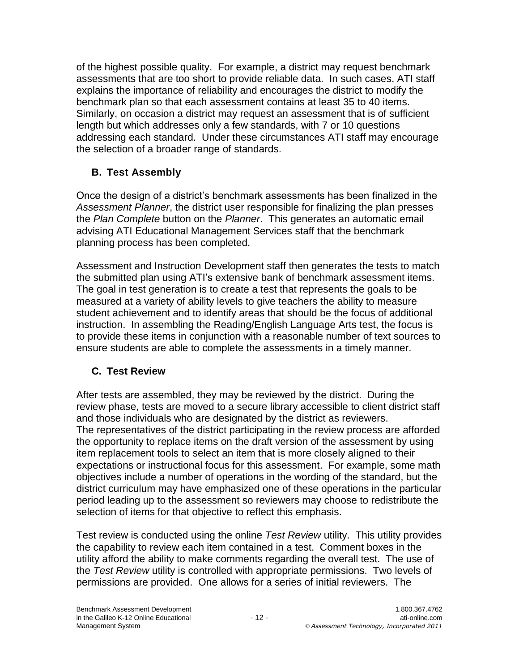of the highest possible quality. For example, a district may request benchmark assessments that are too short to provide reliable data. In such cases, ATI staff explains the importance of reliability and encourages the district to modify the benchmark plan so that each assessment contains at least 35 to 40 items. Similarly, on occasion a district may request an assessment that is of sufficient length but which addresses only a few standards, with 7 or 10 questions addressing each standard. Under these circumstances ATI staff may encourage the selection of a broader range of standards.

# **B. Test Assembly**

Once the design of a district's benchmark assessments has been finalized in the *Assessment Planner*, the district user responsible for finalizing the plan presses the *Plan Complete* button on the *Planner*. This generates an automatic email advising ATI Educational Management Services staff that the benchmark planning process has been completed.

Assessment and Instruction Development staff then generates the tests to match the submitted plan using ATI's extensive bank of benchmark assessment items. The goal in test generation is to create a test that represents the goals to be measured at a variety of ability levels to give teachers the ability to measure student achievement and to identify areas that should be the focus of additional instruction. In assembling the Reading/English Language Arts test, the focus is to provide these items in conjunction with a reasonable number of text sources to ensure students are able to complete the assessments in a timely manner.

# **C. Test Review**

After tests are assembled, they may be reviewed by the district. During the review phase, tests are moved to a secure library accessible to client district staff and those individuals who are designated by the district as reviewers. The representatives of the district participating in the review process are afforded the opportunity to replace items on the draft version of the assessment by using item replacement tools to select an item that is more closely aligned to their expectations or instructional focus for this assessment. For example, some math objectives include a number of operations in the wording of the standard, but the district curriculum may have emphasized one of these operations in the particular period leading up to the assessment so reviewers may choose to redistribute the selection of items for that objective to reflect this emphasis.

Test review is conducted using the online *Test Review* utility. This utility provides the capability to review each item contained in a test. Comment boxes in the utility afford the ability to make comments regarding the overall test. The use of the *Test Review* utility is controlled with appropriate permissions. Two levels of permissions are provided. One allows for a series of initial reviewers. The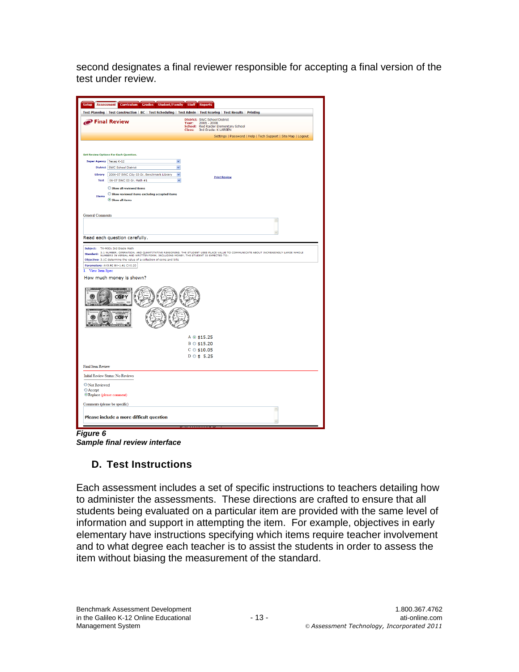second designates a final reviewer responsible for accepting a final version of the test under review.

|                                                                                  |                                                                                        |                                                                        |                            | Test Planning   Test Construction   BC   Test Scheduling   Test Admin   Test Scoring   Test Results   Printing |                                                                                                                                                                                                                                    |
|----------------------------------------------------------------------------------|----------------------------------------------------------------------------------------|------------------------------------------------------------------------|----------------------------|----------------------------------------------------------------------------------------------------------------|------------------------------------------------------------------------------------------------------------------------------------------------------------------------------------------------------------------------------------|
|                                                                                  | $\partial$ Final Review                                                                |                                                                        | Year:<br>School:<br>Class: | District: SWC School District<br>$2006 - 2008$<br>Red Raider Elementary School<br>3rd Grade: K LARSEN          |                                                                                                                                                                                                                                    |
|                                                                                  |                                                                                        |                                                                        |                            |                                                                                                                | Settings   Password   Help   Tech Support   Site Map   Logout                                                                                                                                                                      |
|                                                                                  |                                                                                        |                                                                        |                            |                                                                                                                |                                                                                                                                                                                                                                    |
|                                                                                  |                                                                                        |                                                                        |                            |                                                                                                                |                                                                                                                                                                                                                                    |
| Super Agency Texas K-12                                                          | <b>Set Review Options For Each Question.</b>                                           |                                                                        | $\ddotmark$                |                                                                                                                |                                                                                                                                                                                                                                    |
|                                                                                  | District SWC School District                                                           |                                                                        | $\ddotmark$                |                                                                                                                |                                                                                                                                                                                                                                    |
| Library                                                                          |                                                                                        | 2006-07 SWC City 03 Gr. Benchmark Library                              | $\checkmark$               |                                                                                                                |                                                                                                                                                                                                                                    |
| <b>Test</b>                                                                      | 06-07 SWC 03 Gr. Math #1                                                               |                                                                        | $\ddot{ }$                 | <b>Print Review</b>                                                                                            |                                                                                                                                                                                                                                    |
|                                                                                  | Show all reviewed items                                                                |                                                                        |                            |                                                                                                                |                                                                                                                                                                                                                                    |
|                                                                                  |                                                                                        | $\bigcirc$ Show reviewed items excluding accepted items                |                            |                                                                                                                |                                                                                                                                                                                                                                    |
| <b>Items</b>                                                                     | Show all items                                                                         |                                                                        |                            |                                                                                                                |                                                                                                                                                                                                                                    |
|                                                                                  |                                                                                        |                                                                        |                            |                                                                                                                |                                                                                                                                                                                                                                    |
| <b>General Comments</b>                                                          |                                                                                        |                                                                        |                            |                                                                                                                |                                                                                                                                                                                                                                    |
|                                                                                  |                                                                                        |                                                                        |                            |                                                                                                                | $\hat{\phantom{a}}$                                                                                                                                                                                                                |
|                                                                                  |                                                                                        |                                                                        |                            |                                                                                                                |                                                                                                                                                                                                                                    |
|                                                                                  | Read each question carefully.                                                          |                                                                        |                            |                                                                                                                |                                                                                                                                                                                                                                    |
|                                                                                  |                                                                                        | Objective: 3.1C determine the value of a collection of coins and bills |                            |                                                                                                                | <b>Standard:</b> 3.1 NUMBER, OPERATION, AND QUANTITATIVE REASONING. THE STUDENT USES PLACE VALUE TO COMMUNICATE ABOUT INCREASINGLY LARGE WHOLE<br>NUMBERS IN VERBAL AND WRITTEN FORM, INCLUDING MONEY. THE STUDENT IS EXPECTED TO: |
|                                                                                  | Parameters: A=0.92 B=-1.61 C=0.20<br>How much money is shown?<br><b>COTTLES</b><br>dOP |                                                                        |                            | A @ \$15.25<br>$B \circ $15.20$                                                                                |                                                                                                                                                                                                                                    |
|                                                                                  |                                                                                        |                                                                        |                            | $C$ $\odot$ \$10.05<br>$D$ $\circ$ \$ 5.25                                                                     |                                                                                                                                                                                                                                    |
|                                                                                  |                                                                                        |                                                                        |                            |                                                                                                                |                                                                                                                                                                                                                                    |
|                                                                                  | Initial Review Status: No Reviews                                                      |                                                                        |                            |                                                                                                                |                                                                                                                                                                                                                                    |
|                                                                                  |                                                                                        |                                                                        |                            |                                                                                                                |                                                                                                                                                                                                                                    |
|                                                                                  | ® Replace (please comment)                                                             |                                                                        |                            |                                                                                                                |                                                                                                                                                                                                                                    |
| 1. View Item Spec<br><b>Final Item Review</b><br>O Not Reviewed<br><b>Accept</b> | Comments (please be specific)                                                          |                                                                        |                            |                                                                                                                | ó                                                                                                                                                                                                                                  |

*Figure 6 Sample final review interface*

# **D. Test Instructions**

Each assessment includes a set of specific instructions to teachers detailing how to administer the assessments. These directions are crafted to ensure that all students being evaluated on a particular item are provided with the same level of information and support in attempting the item. For example, objectives in early elementary have instructions specifying which items require teacher involvement and to what degree each teacher is to assist the students in order to assess the item without biasing the measurement of the standard.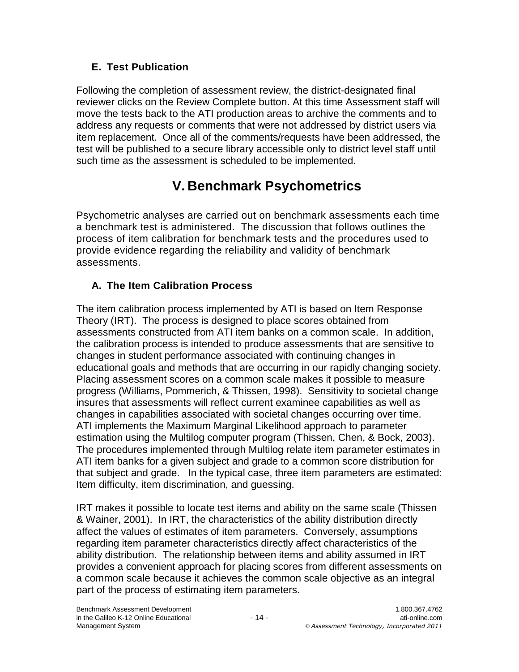# **E. Test Publication**

Following the completion of assessment review, the district-designated final reviewer clicks on the Review Complete button. At this time Assessment staff will move the tests back to the ATI production areas to archive the comments and to address any requests or comments that were not addressed by district users via item replacement. Once all of the comments/requests have been addressed, the test will be published to a secure library accessible only to district level staff until such time as the assessment is scheduled to be implemented.

# **V. Benchmark Psychometrics**

Psychometric analyses are carried out on benchmark assessments each time a benchmark test is administered. The discussion that follows outlines the process of item calibration for benchmark tests and the procedures used to provide evidence regarding the reliability and validity of benchmark assessments.

# **A. The Item Calibration Process**

The item calibration process implemented by ATI is based on Item Response Theory (IRT). The process is designed to place scores obtained from assessments constructed from ATI item banks on a common scale. In addition, the calibration process is intended to produce assessments that are sensitive to changes in student performance associated with continuing changes in educational goals and methods that are occurring in our rapidly changing society. Placing assessment scores on a common scale makes it possible to measure progress (Williams, Pommerich, & Thissen, 1998). Sensitivity to societal change insures that assessments will reflect current examinee capabilities as well as changes in capabilities associated with societal changes occurring over time. ATI implements the Maximum Marginal Likelihood approach to parameter estimation using the Multilog computer program (Thissen, Chen, & Bock, 2003). The procedures implemented through Multilog relate item parameter estimates in ATI item banks for a given subject and grade to a common score distribution for that subject and grade. In the typical case, three item parameters are estimated: Item difficulty, item discrimination, and guessing.

IRT makes it possible to locate test items and ability on the same scale (Thissen & Wainer, 2001). In IRT, the characteristics of the ability distribution directly affect the values of estimates of item parameters. Conversely, assumptions regarding item parameter characteristics directly affect characteristics of the ability distribution. The relationship between items and ability assumed in IRT provides a convenient approach for placing scores from different assessments on a common scale because it achieves the common scale objective as an integral part of the process of estimating item parameters.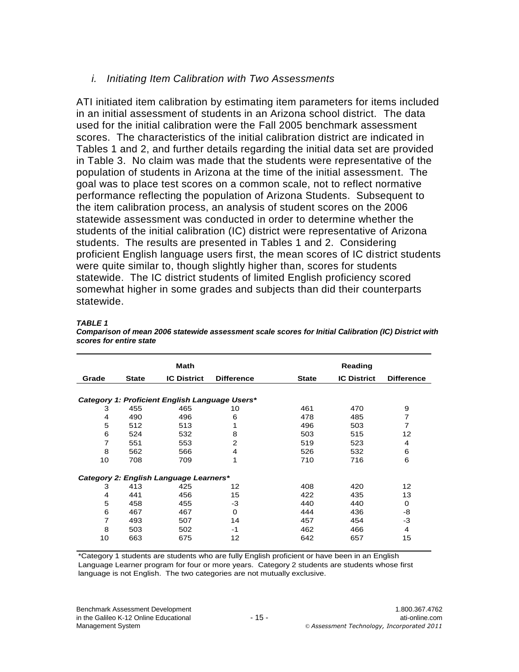### *i. Initiating Item Calibration with Two Assessments*

ATI initiated item calibration by estimating item parameters for items included in an initial assessment of students in an Arizona school district. The data used for the initial calibration were the Fall 2005 benchmark assessment scores. The characteristics of the initial calibration district are indicated in Tables 1 and 2, and further details regarding the initial data set are provided in Table 3. No claim was made that the students were representative of the population of students in Arizona at the time of the initial assessment. The goal was to place test scores on a common scale, not to reflect normative performance reflecting the population of Arizona Students. Subsequent to the item calibration process, an analysis of student scores on the 2006 statewide assessment was conducted in order to determine whether the students of the initial calibration (IC) district were representative of Arizona students. The results are presented in Tables 1 and 2. Considering proficient English language users first, the mean scores of IC district students were quite similar to, though slightly higher than, scores for students statewide. The IC district students of limited English proficiency scored somewhat higher in some grades and subjects than did their counterparts statewide.

|       |              | <b>Math</b>                                    |                   |              | Reading            |                   |
|-------|--------------|------------------------------------------------|-------------------|--------------|--------------------|-------------------|
| Grade | <b>State</b> | <b>IC District</b>                             | <b>Difference</b> | <b>State</b> | <b>IC District</b> | <b>Difference</b> |
|       |              |                                                |                   |              |                    |                   |
|       |              | Category 1: Proficient English Language Users* |                   |              |                    |                   |
| 3     | 455          | 465                                            | 10                | 461          | 470                | 9                 |
| 4     | 490          | 496                                            | 6                 | 478          | 485                | 7                 |
| 5     | 512          | 513                                            |                   | 496          | 503                | 7                 |
| 6     | 524          | 532                                            | 8                 | 503          | 515                | 12                |
| 7     | 551          | 553                                            | 2                 | 519          | 523                | 4                 |
| 8     | 562          | 566                                            | 4                 | 526          | 532                | 6                 |
| 10    | 708          | 709                                            | 1                 | 710          | 716                | 6                 |
|       |              | Category 2: English Language Learners*         |                   |              |                    |                   |
| 3     | 413          | 425                                            | 12                | 408          | 420                | 12                |
| 4     | 441          | 456                                            | 15                | 422          | 435                | 13                |
| 5     | 458          | 455                                            | -3                | 440          | 440                | $\Omega$          |
| 6     | 467          | 467                                            | $\Omega$          | 444          | 436                | -8                |
| 7     | 493          | 507                                            | 14                | 457          | 454                | $-3$              |
| 8     | 503          | 502                                            | $-1$              | 462          | 466                | 4                 |
| 10    | 663          | 675                                            | 12                | 642          | 657                | 15                |

*TABLE 1 Comparison of mean 2006 statewide assessment scale scores for Initial Calibration (IC) District with scores for entire state*

\*Category 1 students are students who are fully English proficient or have been in an English Language Learner program for four or more years. Category 2 students are students whose first language is not English. The two categories are not mutually exclusive.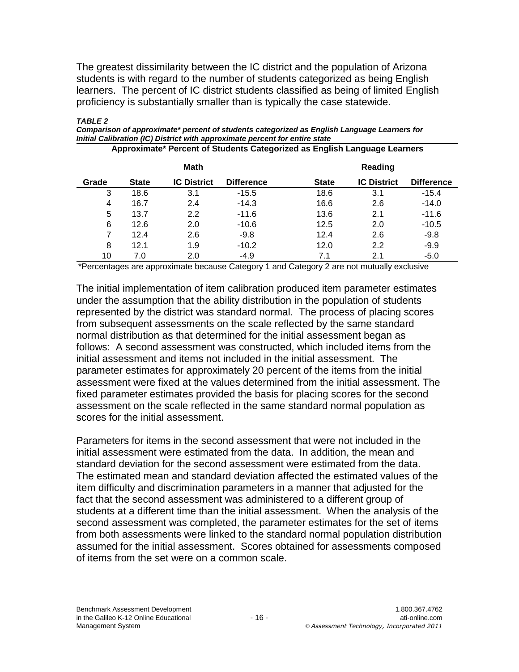The greatest dissimilarity between the IC district and the population of Arizona students is with regard to the number of students categorized as being English learners. The percent of IC district students classified as being of limited English proficiency is substantially smaller than is typically the case statewide.

|       |              | <b>Math</b>        |                   |              | Reading            |                   |
|-------|--------------|--------------------|-------------------|--------------|--------------------|-------------------|
| Grade | <b>State</b> | <b>IC District</b> | <b>Difference</b> | <b>State</b> | <b>IC District</b> | <b>Difference</b> |
| 3     | 18.6         | 3.1                | $-15.5$           | 18.6         | 3.1                | $-15.4$           |
| 4     | 16.7         | 2.4                | $-14.3$           | 16.6         | 2.6                | $-14.0$           |
| 5     | 13.7         | 2.2                | $-11.6$           | 13.6         | 2.1                | $-11.6$           |
| 6     | 12.6         | 2.0                | $-10.6$           | 12.5         | 2.0                | $-10.5$           |
| 7     | 12.4         | 2.6                | $-9.8$            | 12.4         | 2.6                | $-9.8$            |
| 8     | 12.1         | 1.9                | $-10.2$           | 12.0         | 2.2                | $-9.9$            |
| 10    | 7.0          | 2.0                | $-4.9$            | 7.1          | 2.1                | $-5.0$            |

*Initial Calibration (IC) District with approximate percent for entire state* **Approximate\* Percent of Students Categorized as English Language Learners**

*Comparison of approximate\* percent of students categorized as English Language Learners for* 

\*Percentages are approximate because Category 1 and Category 2 are not mutually exclusive

The initial implementation of item calibration produced item parameter estimates under the assumption that the ability distribution in the population of students represented by the district was standard normal. The process of placing scores from subsequent assessments on the scale reflected by the same standard normal distribution as that determined for the initial assessment began as follows: A second assessment was constructed, which included items from the initial assessment and items not included in the initial assessment. The parameter estimates for approximately 20 percent of the items from the initial assessment were fixed at the values determined from the initial assessment. The fixed parameter estimates provided the basis for placing scores for the second assessment on the scale reflected in the same standard normal population as scores for the initial assessment.

Parameters for items in the second assessment that were not included in the initial assessment were estimated from the data. In addition, the mean and standard deviation for the second assessment were estimated from the data. The estimated mean and standard deviation affected the estimated values of the item difficulty and discrimination parameters in a manner that adjusted for the fact that the second assessment was administered to a different group of students at a different time than the initial assessment. When the analysis of the second assessment was completed, the parameter estimates for the set of items from both assessments were linked to the standard normal population distribution assumed for the initial assessment. Scores obtained for assessments composed of items from the set were on a common scale.

*TABLE 2*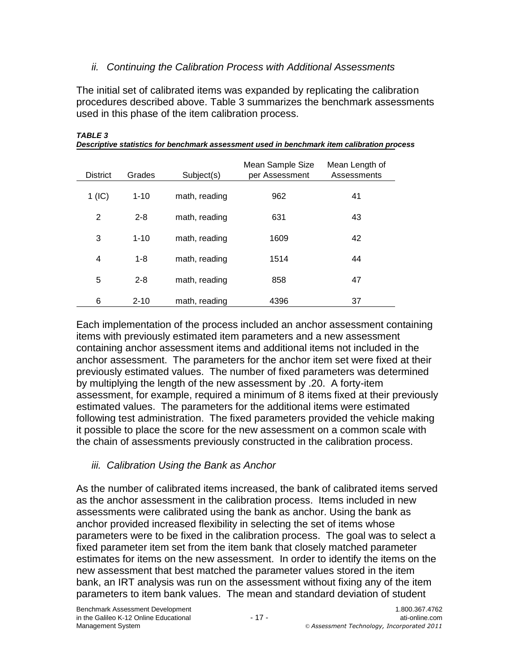## *ii. Continuing the Calibration Process with Additional Assessments*

The initial set of calibrated items was expanded by replicating the calibration procedures described above. Table 3 summarizes the benchmark assessments used in this phase of the item calibration process.

| <b>District</b> | Grades   | Subject(s)    | Mean Sample Size<br>per Assessment | Mean Length of<br>Assessments |
|-----------------|----------|---------------|------------------------------------|-------------------------------|
| $1$ (IC)        | $1 - 10$ | math, reading | 962                                | 41                            |
| 2               | $2 - 8$  | math, reading | 631                                | 43                            |
| 3               | $1 - 10$ | math, reading | 1609                               | 42                            |
| 4               | $1 - 8$  | math, reading | 1514                               | 44                            |
| 5               | $2 - 8$  | math, reading | 858                                | 47                            |
| 6               | $2 - 10$ | math, reading | 4396                               | 37                            |

*TABLE 3 Descriptive statistics for benchmark assessment used in benchmark item calibration process*

Each implementation of the process included an anchor assessment containing items with previously estimated item parameters and a new assessment containing anchor assessment items and additional items not included in the anchor assessment. The parameters for the anchor item set were fixed at their previously estimated values. The number of fixed parameters was determined by multiplying the length of the new assessment by .20. A forty-item assessment, for example, required a minimum of 8 items fixed at their previously estimated values. The parameters for the additional items were estimated following test administration. The fixed parameters provided the vehicle making it possible to place the score for the new assessment on a common scale with the chain of assessments previously constructed in the calibration process.

# *iii. Calibration Using the Bank as Anchor*

As the number of calibrated items increased, the bank of calibrated items served as the anchor assessment in the calibration process. Items included in new assessments were calibrated using the bank as anchor. Using the bank as anchor provided increased flexibility in selecting the set of items whose parameters were to be fixed in the calibration process. The goal was to select a fixed parameter item set from the item bank that closely matched parameter estimates for items on the new assessment. In order to identify the items on the new assessment that best matched the parameter values stored in the item bank, an IRT analysis was run on the assessment without fixing any of the item parameters to item bank values. The mean and standard deviation of student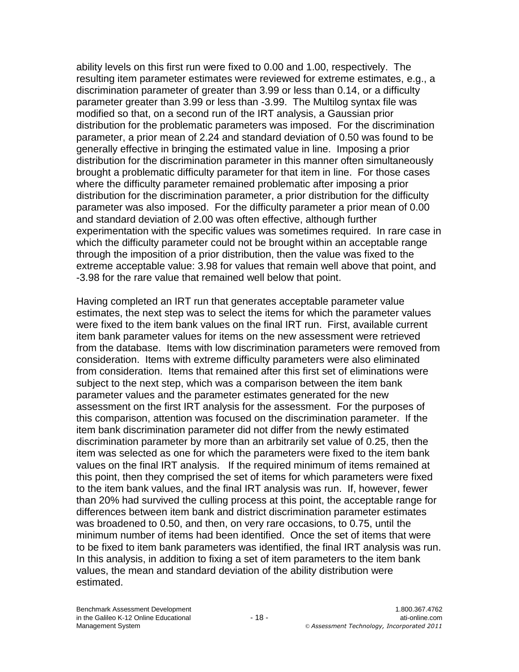ability levels on this first run were fixed to 0.00 and 1.00, respectively. The resulting item parameter estimates were reviewed for extreme estimates, e.g., a discrimination parameter of greater than 3.99 or less than 0.14, or a difficulty parameter greater than 3.99 or less than -3.99. The Multilog syntax file was modified so that, on a second run of the IRT analysis, a Gaussian prior distribution for the problematic parameters was imposed. For the discrimination parameter, a prior mean of 2.24 and standard deviation of 0.50 was found to be generally effective in bringing the estimated value in line. Imposing a prior distribution for the discrimination parameter in this manner often simultaneously brought a problematic difficulty parameter for that item in line. For those cases where the difficulty parameter remained problematic after imposing a prior distribution for the discrimination parameter, a prior distribution for the difficulty parameter was also imposed. For the difficulty parameter a prior mean of 0.00 and standard deviation of 2.00 was often effective, although further experimentation with the specific values was sometimes required. In rare case in which the difficulty parameter could not be brought within an acceptable range through the imposition of a prior distribution, then the value was fixed to the extreme acceptable value: 3.98 for values that remain well above that point, and -3.98 for the rare value that remained well below that point.

Having completed an IRT run that generates acceptable parameter value estimates, the next step was to select the items for which the parameter values were fixed to the item bank values on the final IRT run. First, available current item bank parameter values for items on the new assessment were retrieved from the database. Items with low discrimination parameters were removed from consideration. Items with extreme difficulty parameters were also eliminated from consideration. Items that remained after this first set of eliminations were subject to the next step, which was a comparison between the item bank parameter values and the parameter estimates generated for the new assessment on the first IRT analysis for the assessment. For the purposes of this comparison, attention was focused on the discrimination parameter. If the item bank discrimination parameter did not differ from the newly estimated discrimination parameter by more than an arbitrarily set value of 0.25, then the item was selected as one for which the parameters were fixed to the item bank values on the final IRT analysis. If the required minimum of items remained at this point, then they comprised the set of items for which parameters were fixed to the item bank values, and the final IRT analysis was run. If, however, fewer than 20% had survived the culling process at this point, the acceptable range for differences between item bank and district discrimination parameter estimates was broadened to 0.50, and then, on very rare occasions, to 0.75, until the minimum number of items had been identified. Once the set of items that were to be fixed to item bank parameters was identified, the final IRT analysis was run. In this analysis, in addition to fixing a set of item parameters to the item bank values, the mean and standard deviation of the ability distribution were estimated.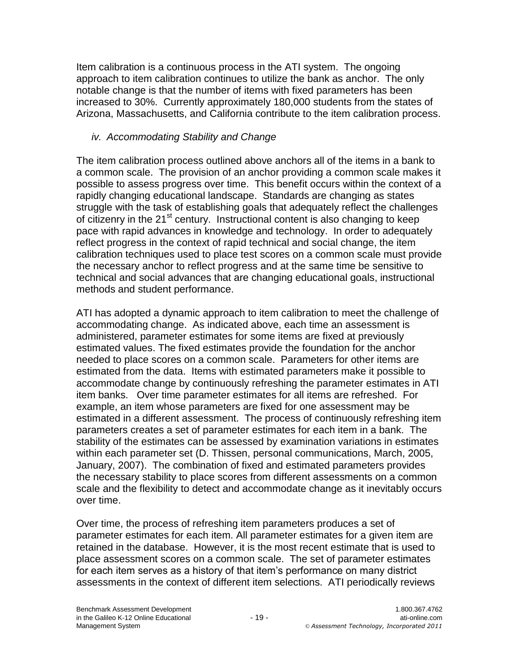Item calibration is a continuous process in the ATI system. The ongoing approach to item calibration continues to utilize the bank as anchor. The only notable change is that the number of items with fixed parameters has been increased to 30%. Currently approximately 180,000 students from the states of Arizona, Massachusetts, and California contribute to the item calibration process.

# *iv. Accommodating Stability and Change*

The item calibration process outlined above anchors all of the items in a bank to a common scale. The provision of an anchor providing a common scale makes it possible to assess progress over time. This benefit occurs within the context of a rapidly changing educational landscape. Standards are changing as states struggle with the task of establishing goals that adequately reflect the challenges of citizenry in the  $21<sup>st</sup>$  century. Instructional content is also changing to keep pace with rapid advances in knowledge and technology. In order to adequately reflect progress in the context of rapid technical and social change, the item calibration techniques used to place test scores on a common scale must provide the necessary anchor to reflect progress and at the same time be sensitive to technical and social advances that are changing educational goals, instructional methods and student performance.

ATI has adopted a dynamic approach to item calibration to meet the challenge of accommodating change. As indicated above, each time an assessment is administered, parameter estimates for some items are fixed at previously estimated values. The fixed estimates provide the foundation for the anchor needed to place scores on a common scale. Parameters for other items are estimated from the data. Items with estimated parameters make it possible to accommodate change by continuously refreshing the parameter estimates in ATI item banks. Over time parameter estimates for all items are refreshed. For example, an item whose parameters are fixed for one assessment may be estimated in a different assessment. The process of continuously refreshing item parameters creates a set of parameter estimates for each item in a bank. The stability of the estimates can be assessed by examination variations in estimates within each parameter set (D. Thissen, personal communications, March, 2005, January, 2007). The combination of fixed and estimated parameters provides the necessary stability to place scores from different assessments on a common scale and the flexibility to detect and accommodate change as it inevitably occurs over time.

Over time, the process of refreshing item parameters produces a set of parameter estimates for each item. All parameter estimates for a given item are retained in the database. However, it is the most recent estimate that is used to place assessment scores on a common scale. The set of parameter estimates for each item serves as a history of that item's performance on many district assessments in the context of different item selections. ATI periodically reviews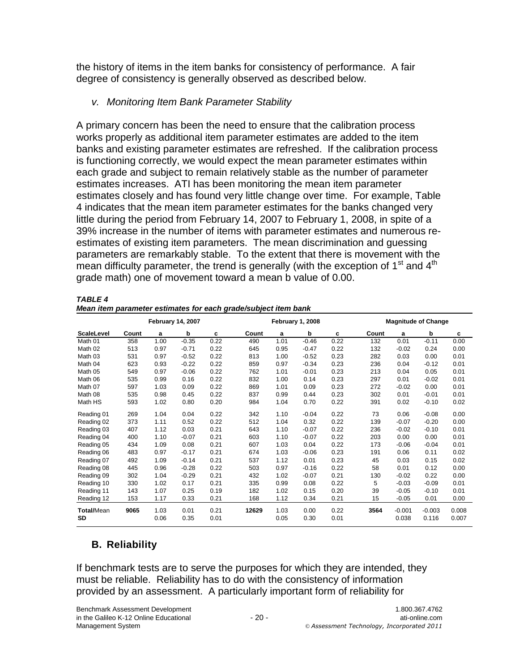the history of items in the item banks for consistency of performance. A fair degree of consistency is generally observed as described below.

# *v. Monitoring Item Bank Parameter Stability*

A primary concern has been the need to ensure that the calibration process works properly as additional item parameter estimates are added to the item banks and existing parameter estimates are refreshed. If the calibration process is functioning correctly, we would expect the mean parameter estimates within each grade and subject to remain relatively stable as the number of parameter estimates increases. ATI has been monitoring the mean item parameter estimates closely and has found very little change over time. For example, Table 4 indicates that the mean item parameter estimates for the banks changed very little during the period from February 14, 2007 to February 1, 2008, in spite of a 39% increase in the number of items with parameter estimates and numerous reestimates of existing item parameters. The mean discrimination and guessing parameters are remarkably stable. To the extent that there is movement with the mean difficulty parameter, the trend is generally (with the exception of  $1<sup>st</sup>$  and  $4<sup>th</sup>$ grade math) one of movement toward a mean b value of 0.00.

| TABLE 4                                                        |  |  |  |
|----------------------------------------------------------------|--|--|--|
| Mean item parameter estimates for each grade/subject item bank |  |  |  |

|                         |       |              | <b>February 14, 2007</b> |              |       |              | February 1, 2008 |              |       |                   | <b>Magnitude of Change</b> |                |
|-------------------------|-------|--------------|--------------------------|--------------|-------|--------------|------------------|--------------|-------|-------------------|----------------------------|----------------|
| <b>ScaleLevel</b>       | Count | a            | b                        | c            | Count | a            | b                | c            | Count | a                 | b                          | c              |
| Math 01                 | 358   | 1.00         | $-0.35$                  | 0.22         | 490   | 1.01         | $-0.46$          | 0.22         | 132   | 0.01              | $-0.11$                    | 0.00           |
| Math 02                 | 513   | 0.97         | $-0.71$                  | 0.22         | 645   | 0.95         | $-0.47$          | 0.22         | 132   | $-0.02$           | 0.24                       | 0.00           |
| Math 03                 | 531   | 0.97         | $-0.52$                  | 0.22         | 813   | 1.00         | $-0.52$          | 0.23         | 282   | 0.03              | 0.00                       | 0.01           |
| Math 04                 | 623   | 0.93         | $-0.22$                  | 0.22         | 859   | 0.97         | $-0.34$          | 0.23         | 236   | 0.04              | $-0.12$                    | 0.01           |
| Math 05                 | 549   | 0.97         | $-0.06$                  | 0.22         | 762   | 1.01         | $-0.01$          | 0.23         | 213   | 0.04              | 0.05                       | 0.01           |
| Math 06                 | 535   | 0.99         | 0.16                     | 0.22         | 832   | 1.00         | 0.14             | 0.23         | 297   | 0.01              | $-0.02$                    | 0.01           |
| Math 07                 | 597   | 1.03         | 0.09                     | 0.22         | 869   | 1.01         | 0.09             | 0.23         | 272   | $-0.02$           | 0.00                       | 0.01           |
| Math 08                 | 535   | 0.98         | 0.45                     | 0.22         | 837   | 0.99         | 0.44             | 0.23         | 302   | 0.01              | $-0.01$                    | 0.01           |
| Math HS                 | 593   | 1.02         | 0.80                     | 0.20         | 984   | 1.04         | 0.70             | 0.22         | 391   | 0.02              | $-0.10$                    | 0.02           |
| Reading 01              | 269   | 1.04         | 0.04                     | 0.22         | 342   | 1.10         | $-0.04$          | 0.22         | 73    | 0.06              | $-0.08$                    | 0.00           |
| Reading 02              | 373   | 1.11         | 0.52                     | 0.22         | 512   | 1.04         | 0.32             | 0.22         | 139   | $-0.07$           | $-0.20$                    | 0.00           |
| Reading 03              | 407   | 1.12         | 0.03                     | 0.21         | 643   | 1.10         | $-0.07$          | 0.22         | 236   | $-0.02$           | $-0.10$                    | 0.01           |
| Reading 04              | 400   | 1.10         | $-0.07$                  | 0.21         | 603   | 1.10         | $-0.07$          | 0.22         | 203   | 0.00              | 0.00                       | 0.01           |
| Reading 05              | 434   | 1.09         | 0.08                     | 0.21         | 607   | 1.03         | 0.04             | 0.22         | 173   | $-0.06$           | $-0.04$                    | 0.01           |
| Reading 06              | 483   | 0.97         | $-0.17$                  | 0.21         | 674   | 1.03         | $-0.06$          | 0.23         | 191   | 0.06              | 0.11                       | 0.02           |
| Reading 07              | 492   | 1.09         | $-0.14$                  | 0.21         | 537   | 1.12         | 0.01             | 0.23         | 45    | 0.03              | 0.15                       | 0.02           |
| Reading 08              | 445   | 0.96         | $-0.28$                  | 0.22         | 503   | 0.97         | $-0.16$          | 0.22         | 58    | 0.01              | 0.12                       | 0.00           |
| Reading 09              | 302   | 1.04         | $-0.29$                  | 0.21         | 432   | 1.02         | $-0.07$          | 0.21         | 130   | $-0.02$           | 0.22                       | 0.00           |
| Reading 10              | 330   | 1.02         | 0.17                     | 0.21         | 335   | 0.99         | 0.08             | 0.22         | 5     | $-0.03$           | $-0.09$                    | 0.01           |
| Reading 11              | 143   | 1.07         | 0.25                     | 0.19         | 182   | 1.02         | 0.15             | 0.20         | 39    | $-0.05$           | $-0.10$                    | 0.01           |
| Reading 12              | 153   | 1.17         | 0.33                     | 0.21         | 168   | 1.12         | 0.34             | 0.21         | 15    | $-0.05$           | 0.01                       | 0.00           |
| Total/Mean<br><b>SD</b> | 9065  | 1.03<br>0.06 | 0.01<br>0.35             | 0.21<br>0.01 | 12629 | 1.03<br>0.05 | 0.00<br>0.30     | 0.22<br>0.01 | 3564  | $-0.001$<br>0.038 | $-0.003$<br>0.116          | 0.008<br>0.007 |

# **B. Reliability**

If benchmark tests are to serve the purposes for which they are intended, they must be reliable. Reliability has to do with the consistency of information provided by an assessment. A particularly important form of reliability for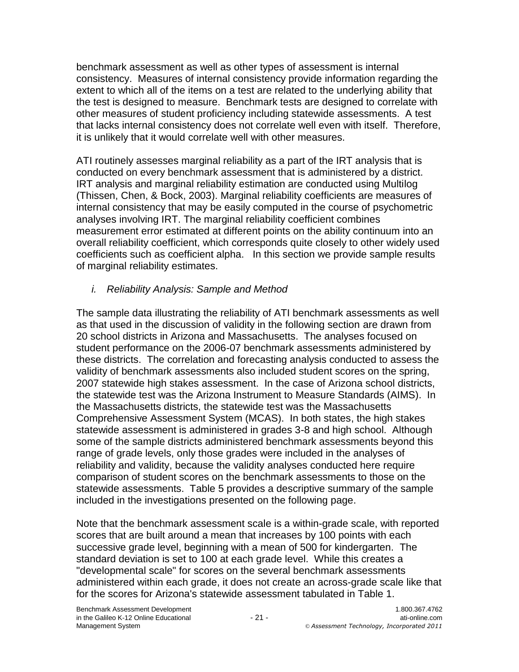benchmark assessment as well as other types of assessment is internal consistency. Measures of internal consistency provide information regarding the extent to which all of the items on a test are related to the underlying ability that the test is designed to measure. Benchmark tests are designed to correlate with other measures of student proficiency including statewide assessments. A test that lacks internal consistency does not correlate well even with itself. Therefore, it is unlikely that it would correlate well with other measures.

ATI routinely assesses marginal reliability as a part of the IRT analysis that is conducted on every benchmark assessment that is administered by a district. IRT analysis and marginal reliability estimation are conducted using Multilog (Thissen, Chen, & Bock, 2003). Marginal reliability coefficients are measures of internal consistency that may be easily computed in the course of psychometric analyses involving IRT. The marginal reliability coefficient combines measurement error estimated at different points on the ability continuum into an overall reliability coefficient, which corresponds quite closely to other widely used coefficients such as coefficient alpha. In this section we provide sample results of marginal reliability estimates.

*i. Reliability Analysis: Sample and Method*

The sample data illustrating the reliability of ATI benchmark assessments as well as that used in the discussion of validity in the following section are drawn from 20 school districts in Arizona and Massachusetts. The analyses focused on student performance on the 2006-07 benchmark assessments administered by these districts. The correlation and forecasting analysis conducted to assess the validity of benchmark assessments also included student scores on the spring, 2007 statewide high stakes assessment. In the case of Arizona school districts, the statewide test was the Arizona Instrument to Measure Standards (AIMS). In the Massachusetts districts, the statewide test was the Massachusetts Comprehensive Assessment System (MCAS). In both states, the high stakes statewide assessment is administered in grades 3-8 and high school. Although some of the sample districts administered benchmark assessments beyond this range of grade levels, only those grades were included in the analyses of reliability and validity, because the validity analyses conducted here require comparison of student scores on the benchmark assessments to those on the statewide assessments. Table 5 provides a descriptive summary of the sample included in the investigations presented on the following page.

Note that the benchmark assessment scale is a within-grade scale, with reported scores that are built around a mean that increases by 100 points with each successive grade level, beginning with a mean of 500 for kindergarten. The standard deviation is set to 100 at each grade level. While this creates a "developmental scale" for scores on the several benchmark assessments administered within each grade, it does not create an across-grade scale like that for the scores for Arizona's statewide assessment tabulated in Table 1.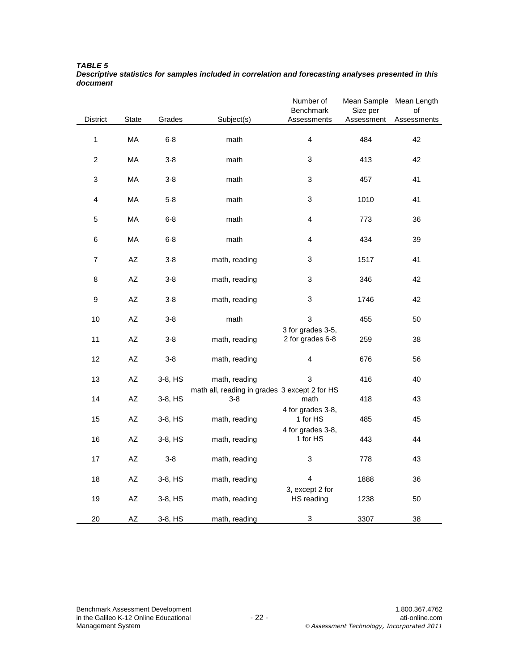|                         |                        |         |                                                          | Number of                             | Mean Sample Mean Length |             |
|-------------------------|------------------------|---------|----------------------------------------------------------|---------------------------------------|-------------------------|-------------|
|                         |                        |         |                                                          | Benchmark                             | Size per                | of          |
| <b>District</b>         | State                  | Grades  | Subject(s)                                               | Assessments                           | Assessment              | Assessments |
| $\mathbf{1}$            | MA                     | $6 - 8$ | math                                                     | $\overline{\mathbf{4}}$               | 484                     | 42          |
| $\overline{c}$          | MA                     | $3-8$   | math                                                     | 3                                     | 413                     | 42          |
| 3                       | MA                     | $3-8$   | math                                                     | 3                                     | 457                     | 41          |
| $\overline{\mathbf{4}}$ | MA                     | $5-8$   | math                                                     | 3                                     | 1010                    | 41          |
| 5                       | MA                     | $6 - 8$ | math                                                     | $\overline{\mathbf{4}}$               | 773                     | 36          |
| 6                       | MA                     | $6 - 8$ | math                                                     | 4                                     | 434                     | 39          |
| $\boldsymbol{7}$        | $\mathsf{A}\mathsf{Z}$ | $3-8$   | math, reading                                            | 3                                     | 1517                    | 41          |
| 8                       | $\mathsf{A}\mathsf{Z}$ | $3-8$   | math, reading                                            | 3                                     | 346                     | 42          |
| $\boldsymbol{9}$        | $\mathsf{A}\mathsf{Z}$ | $3-8$   | math, reading                                            | 3                                     | 1746                    | 42          |
| $10$                    | $\mathsf{A}\mathsf{Z}$ | $3-8$   | math                                                     | 3                                     | 455                     | 50          |
| 11                      | $\mathsf{A}\mathsf{Z}$ | $3-8$   | math, reading                                            | 3 for grades 3-5,<br>2 for grades 6-8 | 259                     | 38          |
| 12                      | $\mathsf{A}\mathsf{Z}$ | $3-8$   | math, reading                                            | 4                                     | 676                     | 56          |
| 13                      | $\mathsf{A}\mathsf{Z}$ | 3-8, HS | math, reading                                            | 3                                     | 416                     | 40          |
| 14                      | $\mathsf{A}\mathsf{Z}$ | 3-8, HS | math all, reading in grades 3 except 2 for HS<br>$3 - 8$ | math                                  | 418                     | 43          |
| 15                      | $\mathsf{A}\mathsf{Z}$ | 3-8, HS | math, reading                                            | 4 for grades 3-8,<br>1 for HS         | 485                     | 45          |
| 16                      | $\mathsf{A}\mathsf{Z}$ | 3-8, HS | math, reading                                            | 4 for grades 3-8,<br>1 for HS         | 443                     | 44          |
| 17                      | $\mathsf{A}\mathsf{Z}$ | $3-8$   | math, reading                                            | 3                                     | 778                     | 43          |
| 18                      | $\mathsf{A}\mathsf{Z}$ | 3-8, HS | math, reading                                            | $\overline{\mathbf{4}}$               | 1888                    | 36          |
| 19                      | $\mathsf{A}\mathsf{Z}$ | 3-8, HS | math, reading                                            | 3, except 2 for<br>HS reading         | 1238                    | 50          |
| 20                      | AZ                     | 3-8, HS | math, reading                                            | $\ensuremath{\mathsf{3}}$             | 3307                    | 38          |

*TABLE 5 Descriptive statistics for samples included in correlation and forecasting analyses presented in this document*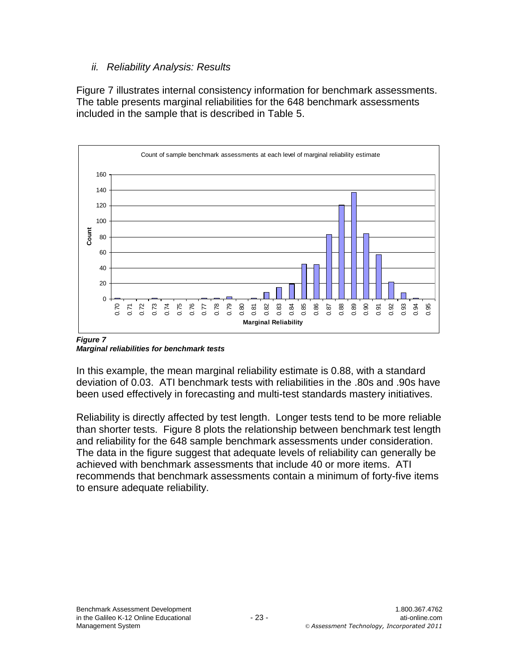### *ii. Reliability Analysis: Results*

Figure 7 illustrates internal consistency information for benchmark assessments. The table presents marginal reliabilities for the 648 benchmark assessments included in the sample that is described in Table 5.



*Figure 7 Marginal reliabilities for benchmark tests*

In this example, the mean marginal reliability estimate is 0.88, with a standard deviation of 0.03. ATI benchmark tests with reliabilities in the .80s and .90s have been used effectively in forecasting and multi-test standards mastery initiatives.

Reliability is directly affected by test length. Longer tests tend to be more reliable than shorter tests. Figure 8 plots the relationship between benchmark test length and reliability for the 648 sample benchmark assessments under consideration. The data in the figure suggest that adequate levels of reliability can generally be achieved with benchmark assessments that include 40 or more items. ATI recommends that benchmark assessments contain a minimum of forty-five items to ensure adequate reliability.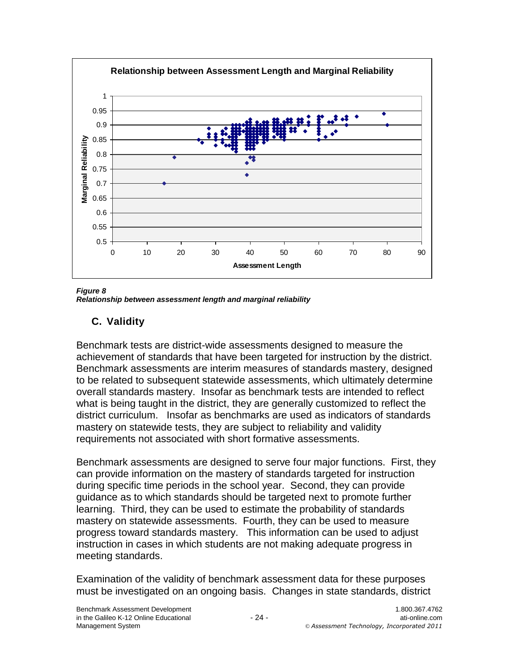

*Figure 8 Relationship between assessment length and marginal reliability*

# **C. Validity**

Benchmark tests are district-wide assessments designed to measure the achievement of standards that have been targeted for instruction by the district. Benchmark assessments are interim measures of standards mastery, designed to be related to subsequent statewide assessments, which ultimately determine overall standards mastery. Insofar as benchmark tests are intended to reflect what is being taught in the district, they are generally customized to reflect the district curriculum. Insofar as benchmarks are used as indicators of standards mastery on statewide tests, they are subject to reliability and validity requirements not associated with short formative assessments.

Benchmark assessments are designed to serve four major functions. First, they can provide information on the mastery of standards targeted for instruction during specific time periods in the school year. Second, they can provide guidance as to which standards should be targeted next to promote further learning. Third, they can be used to estimate the probability of standards mastery on statewide assessments. Fourth, they can be used to measure progress toward standards mastery. This information can be used to adjust instruction in cases in which students are not making adequate progress in meeting standards.

Examination of the validity of benchmark assessment data for these purposes must be investigated on an ongoing basis. Changes in state standards, district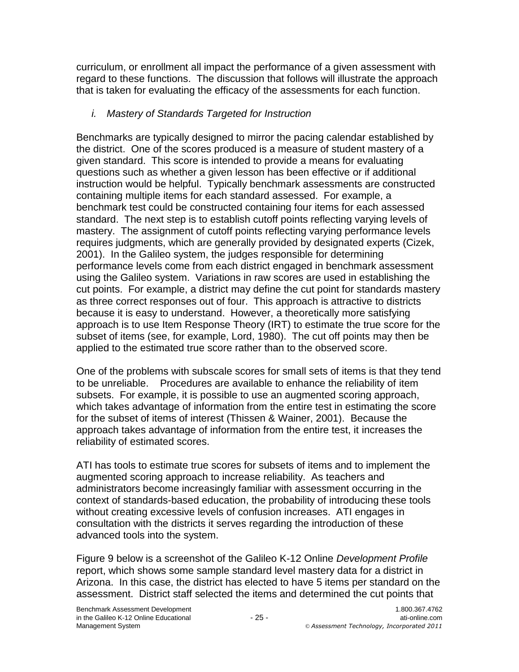curriculum, or enrollment all impact the performance of a given assessment with regard to these functions. The discussion that follows will illustrate the approach that is taken for evaluating the efficacy of the assessments for each function.

# *i. Mastery of Standards Targeted for Instruction*

Benchmarks are typically designed to mirror the pacing calendar established by the district. One of the scores produced is a measure of student mastery of a given standard. This score is intended to provide a means for evaluating questions such as whether a given lesson has been effective or if additional instruction would be helpful. Typically benchmark assessments are constructed containing multiple items for each standard assessed. For example, a benchmark test could be constructed containing four items for each assessed standard. The next step is to establish cutoff points reflecting varying levels of mastery. The assignment of cutoff points reflecting varying performance levels requires judgments, which are generally provided by designated experts (Cizek, 2001). In the Galileo system, the judges responsible for determining performance levels come from each district engaged in benchmark assessment using the Galileo system. Variations in raw scores are used in establishing the cut points. For example, a district may define the cut point for standards mastery as three correct responses out of four. This approach is attractive to districts because it is easy to understand. However, a theoretically more satisfying approach is to use Item Response Theory (IRT) to estimate the true score for the subset of items (see, for example, Lord, 1980). The cut off points may then be applied to the estimated true score rather than to the observed score.

One of the problems with subscale scores for small sets of items is that they tend to be unreliable. Procedures are available to enhance the reliability of item subsets. For example, it is possible to use an augmented scoring approach, which takes advantage of information from the entire test in estimating the score for the subset of items of interest (Thissen & Wainer, 2001). Because the approach takes advantage of information from the entire test, it increases the reliability of estimated scores.

ATI has tools to estimate true scores for subsets of items and to implement the augmented scoring approach to increase reliability. As teachers and administrators become increasingly familiar with assessment occurring in the context of standards-based education, the probability of introducing these tools without creating excessive levels of confusion increases. ATI engages in consultation with the districts it serves regarding the introduction of these advanced tools into the system.

Figure 9 below is a screenshot of the Galileo K-12 Online *Development Profile*  report, which shows some sample standard level mastery data for a district in Arizona. In this case, the district has elected to have 5 items per standard on the assessment. District staff selected the items and determined the cut points that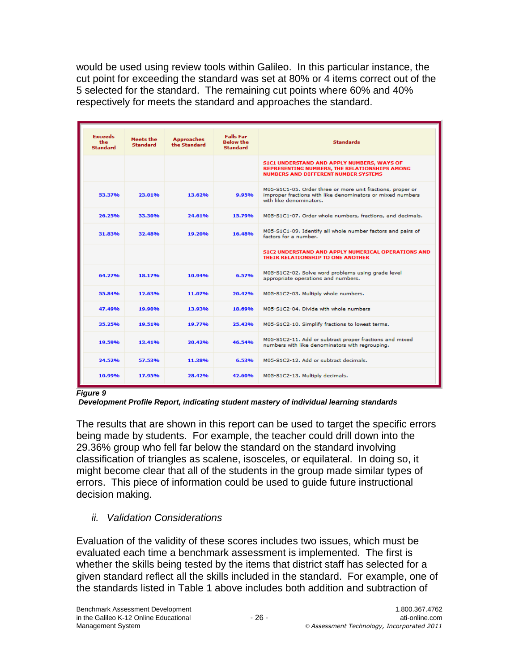would be used using review tools within Galileo. In this particular instance, the cut point for exceeding the standard was set at 80% or 4 items correct out of the 5 selected for the standard. The remaining cut points where 60% and 40% respectively for meets the standard and approaches the standard.

| <b>Exceeds</b><br>the<br><b>Standard</b> | Meets the<br><b>Standard</b> | <b>Approaches</b><br>the Standard | <b>Falls Far</b><br><b>Below the</b><br><b>Standard</b> | <b>Standards</b>                                                                                                                                    |
|------------------------------------------|------------------------------|-----------------------------------|---------------------------------------------------------|-----------------------------------------------------------------------------------------------------------------------------------------------------|
|                                          |                              |                                   |                                                         | S1C1 UNDERSTAND AND APPLY NUMBERS, WAYS OF<br>REPRESENTING NUMBERS, THE RELATIONSHIPS AMONG<br><b>NUMBERS AND DIFFERENT NUMBER SYSTEMS</b>          |
| 53.37%                                   | 23.01%                       | 13.62%                            | <b>9.95%</b>                                            | M05-S1C1-05. Order three or more unit fractions, proper or<br>improper fractions with like denominators or mixed numbers<br>with like denominators. |
| 26.25%                                   | 33.30%                       | 24.61%                            | 15.79%                                                  | M05-S1C1-07. Order whole numbers, fractions, and decimals.                                                                                          |
| 31.83%                                   | 32.48%                       | 19.20%                            | 16.48%                                                  | M05-S1C1-09. Identify all whole number factors and pairs of<br>factors for a number.                                                                |
|                                          |                              |                                   |                                                         | <b>S1C2 UNDERSTAND AND APPLY NUMERICAL OPERATIONS AND</b><br>THEIR RELATIONSHIP TO ONE ANOTHER                                                      |
| 64.27%                                   | 18.17%                       | 10.94%                            | 6.57%                                                   | M05-S1C2-02. Solve word problems using grade level<br>appropriate operations and numbers.                                                           |
| 55.84%                                   | 12.63%                       | 11.07%                            | 20.42%                                                  | M05-S1C2-03. Multiply whole numbers.                                                                                                                |
| 47.49%                                   | 19.90%                       | 13.93%                            | 18.69%                                                  | M05-S1C2-04. Divide with whole numbers.                                                                                                             |
| 35.25%                                   | 19.51%                       | 19.77%                            | 25.43%                                                  | M05-S1C2-10. Simplify fractions to lowest terms.                                                                                                    |
| 19.59%                                   | 13.41%                       | 20.42%                            | 46.54%                                                  | M05-S1C2-11. Add or subtract proper fractions and mixed<br>numbers with like denominators with regrouping.                                          |
| 24.52%                                   | 57.53%                       | 11.38%                            | 6.53%                                                   | M05-S1C2-12. Add or subtract decimals.                                                                                                              |
| 10.99%                                   | 17.95%                       | 28.42%                            | 42.60%                                                  | M05-S1C2-13. Multiply decimals.                                                                                                                     |

*Figure 9*

*Development Profile Report, indicating student mastery of individual learning standards*

The results that are shown in this report can be used to target the specific errors being made by students. For example, the teacher could drill down into the 29.36% group who fell far below the standard on the standard involving classification of triangles as scalene, isosceles, or equilateral. In doing so, it might become clear that all of the students in the group made similar types of errors. This piece of information could be used to guide future instructional decision making.

### *ii. Validation Considerations*

Evaluation of the validity of these scores includes two issues, which must be evaluated each time a benchmark assessment is implemented. The first is whether the skills being tested by the items that district staff has selected for a given standard reflect all the skills included in the standard. For example, one of the standards listed in Table 1 above includes both addition and subtraction of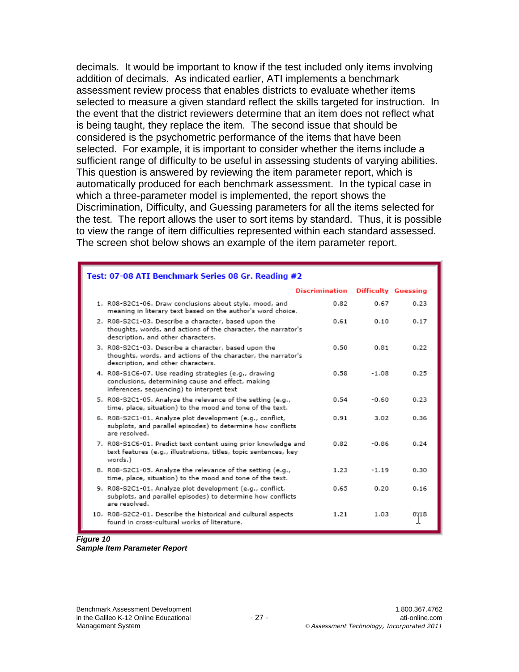decimals. It would be important to know if the test included only items involving addition of decimals. As indicated earlier, ATI implements a benchmark assessment review process that enables districts to evaluate whether items selected to measure a given standard reflect the skills targeted for instruction. In the event that the district reviewers determine that an item does not reflect what is being taught, they replace the item. The second issue that should be considered is the psychometric performance of the items that have been selected. For example, it is important to consider whether the items include a sufficient range of difficulty to be useful in assessing students of varying abilities. This question is answered by reviewing the item parameter report, which is automatically produced for each benchmark assessment. In the typical case in which a three-parameter model is implemented, the report shows the Discrimination, Difficulty, and Guessing parameters for all the items selected for the test. The report allows the user to sort items by standard. Thus, it is possible to view the range of item difficulties represented within each standard assessed. The screen shot below shows an example of the item parameter report.

| Test: 07-08 ATI Benchmark Series 08 Gr. Reading #2                                                                                                          |                |                            |      |
|-------------------------------------------------------------------------------------------------------------------------------------------------------------|----------------|----------------------------|------|
|                                                                                                                                                             | Discrimination | <b>Difficulty Guessing</b> |      |
| 1. R08-S2C1-06. Draw conclusions about style, mood, and<br>meaning in literary text based on the author's word choice.                                      | 0.82           | 0.67                       | 0.23 |
| 2. R08-S2C1-03. Describe a character, based upon the<br>thoughts, words, and actions of the character, the narrator's<br>description, and other characters. | 0.61           | 0.10                       | 0.17 |
| 3. R08-S2C1-03. Describe a character, based upon the<br>thoughts, words, and actions of the character, the narrator's<br>description, and other characters. | 0.50           | 0.81                       | 0.22 |
| 4. R08-S1C6-07. Use reading strategies (e.g., drawing<br>conclusions, determining cause and effect, making<br>inferences, sequencing) to interpret text     | 0.58           | $-1.08$                    | 0.25 |
| 5. R08-S2C1-05. Analyze the relevance of the setting (e.g.,<br>time, place, situation) to the mood and tone of the text.                                    | 0.54           | $-0.60$                    | 0.23 |
| 6. R08-S2C1-01. Analyze plot development (e.g., conflict,<br>subplots, and parallel episodes) to determine how conflicts<br>are resolved.                   | 0.91           | 3.02                       | 0.36 |
| 7. R08-S1C6-01. Predict text content using prior knowledge and<br>text features (e.g., illustrations, titles, topic sentences, key<br>words.)               | 0.82           | $-0.86$                    | 0.24 |
| 8. R08-S2C1-05. Analyze the relevance of the setting (e.g.,<br>time, place, situation) to the mood and tone of the text.                                    | 1.23           | $-1.19$                    | 0.30 |
| 9. R08-S2C1-01. Analyze plot development (e.g., conflict,<br>subplots, and parallel episodes) to determine how conflicts<br>are resolved.                   | 0.65           | 0.20                       | 0.16 |
| 10. R08-S2C2-01. Describe the historical and cultural aspects<br>found in cross-cultural works of literature.                                               | 1.21           | 1.03                       | 0718 |

#### *Figure 10 Sample Item Parameter Report*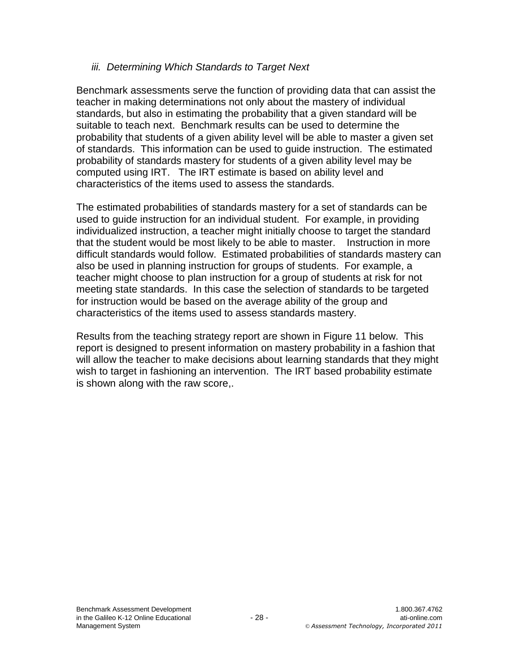### *iii. Determining Which Standards to Target Next*

Benchmark assessments serve the function of providing data that can assist the teacher in making determinations not only about the mastery of individual standards, but also in estimating the probability that a given standard will be suitable to teach next. Benchmark results can be used to determine the probability that students of a given ability level will be able to master a given set of standards. This information can be used to guide instruction. The estimated probability of standards mastery for students of a given ability level may be computed using IRT. The IRT estimate is based on ability level and characteristics of the items used to assess the standards.

The estimated probabilities of standards mastery for a set of standards can be used to guide instruction for an individual student. For example, in providing individualized instruction, a teacher might initially choose to target the standard that the student would be most likely to be able to master. Instruction in more difficult standards would follow. Estimated probabilities of standards mastery can also be used in planning instruction for groups of students. For example, a teacher might choose to plan instruction for a group of students at risk for not meeting state standards. In this case the selection of standards to be targeted for instruction would be based on the average ability of the group and characteristics of the items used to assess standards mastery.

Results from the teaching strategy report are shown in Figure 11 below. This report is designed to present information on mastery probability in a fashion that will allow the teacher to make decisions about learning standards that they might wish to target in fashioning an intervention. The IRT based probability estimate is shown along with the raw score,.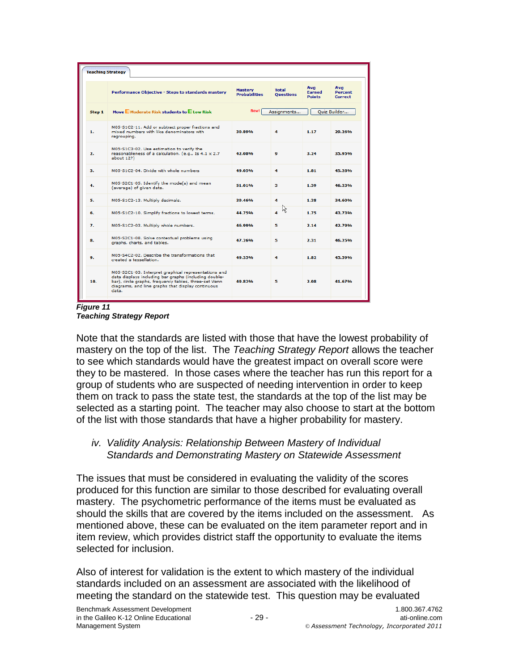| <b>Teaching Strategy</b> |                                                                                                                                                                                                                                      |                                        |                                  |                                       |                                  |  |
|--------------------------|--------------------------------------------------------------------------------------------------------------------------------------------------------------------------------------------------------------------------------------|----------------------------------------|----------------------------------|---------------------------------------|----------------------------------|--|
|                          | Performance Objective - Steps to standards mastery                                                                                                                                                                                   | <b>Mastery</b><br><b>Probabilities</b> | <b>Total</b><br><b>Ouestions</b> | Avg<br><b>Earned</b><br><b>Points</b> | Avg<br><b>Percent</b><br>Correct |  |
| Step 1                   | Move Moderate Risk students to Low Risk                                                                                                                                                                                              | New!                                   | Assignments                      |                                       | Quiz Builder                     |  |
| 1.                       | M05-S1C2-11. Add or subtract proper fractions and<br>mixed numbers with like denominators with<br>rearoupina.                                                                                                                        | 30.89%                                 | 4                                | 1.17                                  | 29.26%                           |  |
| $\mathbf{2}$             | M05-S1C3-02. Use estimation to verify the<br>reasonableness of a calculation. (e.g., Is $4.1 \times 2.7$<br>about 12?)                                                                                                               | 42.08%                                 | $\bullet$                        | 3.24                                  | 35.95%                           |  |
| з.                       | M05-S1C2-04. Divide with whole numbers                                                                                                                                                                                               | 49.05%                                 | 4                                | 1.81                                  | 45.28%                           |  |
| 4.                       | M05-S2C1-05. Identify the mode(s) and mean<br>(average) of given data.                                                                                                                                                               | 51.01%                                 | з                                | 1.39                                  | 46.23%                           |  |
| 5.                       | M05-S1C2-13. Multiply decimals.                                                                                                                                                                                                      | 39.46%                                 | 4                                | 1.38                                  | 34.60%                           |  |
| 6.                       | M05-S1C2-10. Simplify fractions to lowest terms.                                                                                                                                                                                     | 44.75%                                 | ド                                | 1.75                                  | 43.73%                           |  |
| 7.                       | M05-S1C2-03. Multiply whole numbers.                                                                                                                                                                                                 | 46.99%                                 | 5                                | 2.14                                  | 42.79%                           |  |
| 8.                       | M05-S2C1-08. Solve contextual problems using<br>graphs, charts, and tables.                                                                                                                                                          | 47.26%                                 | 5                                | 2.31                                  | 46.25%                           |  |
| ۹.                       | M05-S4C2-02. Describe the transformations that<br>created a tessellation.                                                                                                                                                            | 40.35%                                 | $\overline{\mathbf{A}}$          | 1.82                                  | 45.50 <sub>%</sub>               |  |
| 10.                      | M05-S2C1-03. Interpret graphical representations and<br>data displays including bar graphs (including double-<br>bar), circle graphs, frequency tables, three-set Venn<br>diagrams, and line graphs that display continuous<br>data. | 49.82%                                 | 5                                | 2.08                                  | 41.67%                           |  |

*Figure 11 Teaching Strategy Report*

Note that the standards are listed with those that have the lowest probability of mastery on the top of the list. The *Teaching Strategy Report* allows the teacher to see which standards would have the greatest impact on overall score were they to be mastered. In those cases where the teacher has run this report for a group of students who are suspected of needing intervention in order to keep them on track to pass the state test, the standards at the top of the list may be selected as a starting point. The teacher may also choose to start at the bottom of the list with those standards that have a higher probability for mastery.

### *iv. Validity Analysis: Relationship Between Mastery of Individual Standards and Demonstrating Mastery on Statewide Assessment*

The issues that must be considered in evaluating the validity of the scores produced for this function are similar to those described for evaluating overall mastery. The psychometric performance of the items must be evaluated as should the skills that are covered by the items included on the assessment. As mentioned above, these can be evaluated on the item parameter report and in item review, which provides district staff the opportunity to evaluate the items selected for inclusion.

Also of interest for validation is the extent to which mastery of the individual standards included on an assessment are associated with the likelihood of meeting the standard on the statewide test. This question may be evaluated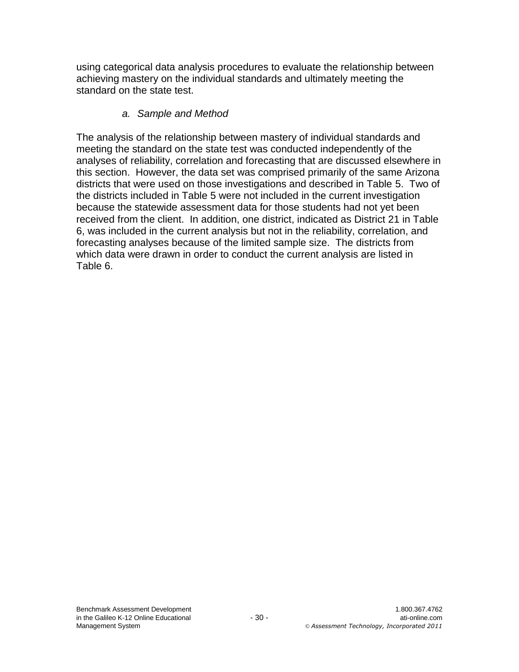using categorical data analysis procedures to evaluate the relationship between achieving mastery on the individual standards and ultimately meeting the standard on the state test.

### *a. Sample and Method*

The analysis of the relationship between mastery of individual standards and meeting the standard on the state test was conducted independently of the analyses of reliability, correlation and forecasting that are discussed elsewhere in this section. However, the data set was comprised primarily of the same Arizona districts that were used on those investigations and described in Table 5. Two of the districts included in Table 5 were not included in the current investigation because the statewide assessment data for those students had not yet been received from the client. In addition, one district, indicated as District 21 in Table 6, was included in the current analysis but not in the reliability, correlation, and forecasting analyses because of the limited sample size. The districts from which data were drawn in order to conduct the current analysis are listed in Table 6.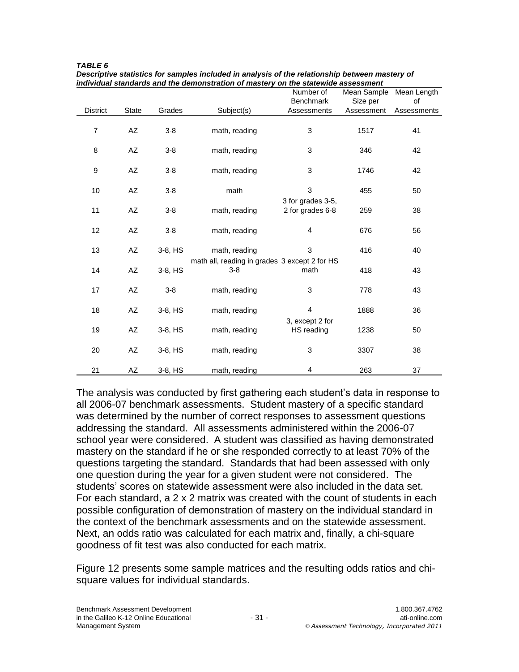|                 |              |         |                                                          | Number of                             | Mean Sample | Mean Length |
|-----------------|--------------|---------|----------------------------------------------------------|---------------------------------------|-------------|-------------|
| <b>District</b> | <b>State</b> | Grades  |                                                          | Benchmark<br>Assessments              | Size per    | of          |
|                 |              |         | Subject(s)                                               |                                       | Assessment  | Assessments |
| $\overline{7}$  | AZ           | $3-8$   | math, reading                                            | 3                                     | 1517        | 41          |
| 8               | AZ           | $3-8$   | math, reading                                            | 3                                     | 346         | 42          |
| 9               | AZ           | $3-8$   | math, reading                                            | 3                                     | 1746        | 42          |
| 10              | AZ           | $3-8$   | math                                                     | 3                                     | 455         | 50          |
| 11              | AZ           | $3-8$   | math, reading                                            | 3 for grades 3-5,<br>2 for grades 6-8 | 259         | 38          |
| 12              | AZ           | $3-8$   | math, reading                                            | 4                                     | 676         | 56          |
| 13              | AZ           | 3-8, HS | math, reading                                            | 3                                     | 416         | 40          |
| 14              | AZ           | 3-8, HS | math all, reading in grades 3 except 2 for HS<br>$3 - 8$ | math                                  | 418         | 43          |
| 17              | AZ           | $3-8$   | math, reading                                            | 3                                     | 778         | 43          |
| 18              | AZ           | 3-8, HS | math, reading                                            | 4                                     | 1888        | 36          |
| 19              | AZ           | 3-8, HS | math, reading                                            | 3, except 2 for<br>HS reading         | 1238        | 50          |
| 20              | AZ           | 3-8, HS | math, reading                                            | 3                                     | 3307        | 38          |
| 21              | AZ           | 3-8, HS | math, reading                                            | 4                                     | 263         | 37          |

*TABLE 6 Descriptive statistics for samples included in analysis of the relationship between mastery of individual standards and the demonstration of mastery on the statewide assessment*

The analysis was conducted by first gathering each student's data in response to all 2006-07 benchmark assessments. Student mastery of a specific standard was determined by the number of correct responses to assessment questions addressing the standard. All assessments administered within the 2006-07 school year were considered. A student was classified as having demonstrated mastery on the standard if he or she responded correctly to at least 70% of the questions targeting the standard. Standards that had been assessed with only one question during the year for a given student were not considered. The students' scores on statewide assessment were also included in the data set. For each standard, a 2 x 2 matrix was created with the count of students in each possible configuration of demonstration of mastery on the individual standard in the context of the benchmark assessments and on the statewide assessment. Next, an odds ratio was calculated for each matrix and, finally, a chi-square goodness of fit test was also conducted for each matrix.

Figure 12 presents some sample matrices and the resulting odds ratios and chisquare values for individual standards.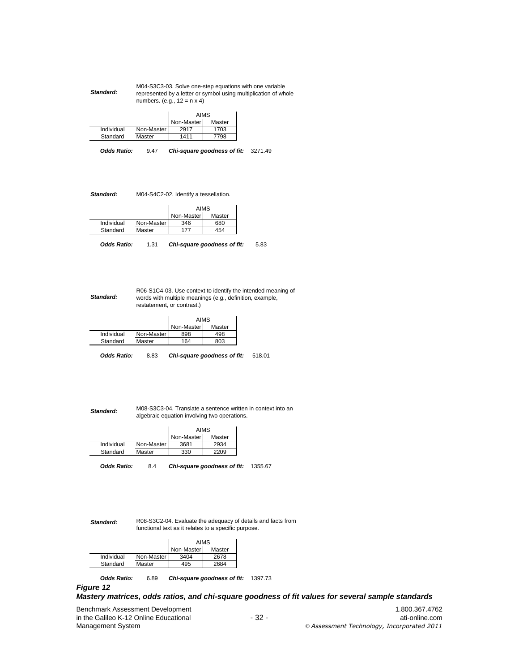|           | M04-S3C3-03. Solve one-step equations with one variable         |
|-----------|-----------------------------------------------------------------|
| Standard: | represented by a letter or symbol using multiplication of whole |
|           | numbers. (e.g., $12 = n \times 4$ )                             |

|            |              | AIMS       |        |  |
|------------|--------------|------------|--------|--|
|            |              | Non-Master | Master |  |
| Individual | Non-Master I | 2917       | 1703   |  |
| Standard   | Master       | 1411       | 7798   |  |

**Odds Ratio:** 9.47 **Chi-square goodness of fit:** 3271.49

*Standard:* M04-S4C2-02. Identify a tessellation.

|            |            | AIMS       |        |
|------------|------------|------------|--------|
|            |            | Non-Master | Master |
| Individual | Non-Master | 346        | 680    |
| Standard   | Master     | 177        | 154    |

**Odds Ratio:** 1.31 **Chi-square goodness of fit:** 5.83

R06-S1C4-03. Use context to identify the intended meaning of words with multiple meanings (e.g., definition, example, restatement, or contrast.)

|            |            | AIMS       |        |
|------------|------------|------------|--------|
|            |            | Non-Master | Master |
| Individual | Non-Master | 898        | 498    |
| Standard   | Master     | 164        | 803    |
|            |            |            |        |

**Odds Ratio:** 8.83 **Chi-square goodness of fit:** 518.01

*Standard:* M08-S3C3-04. Translate a sentence written in context into an algebraic equation involving two operations.

|            |              | <b>AIMS</b> |        |
|------------|--------------|-------------|--------|
|            |              | Non-Master  | Master |
| Individual | Non-Master I | 3681        | 2934   |
| Standard   | Master       | 330         | 2209   |
|            |              |             |        |

Odds Ratio: 8.4 Chi-square goodness of fit: 1355.67

*Standard:*

*Standard:*

R08-S3C2-04. Evaluate the adequacy of details and facts from functional text as it relates to a specific purpose.

|            |            | AIMS       |        |  |
|------------|------------|------------|--------|--|
|            |            | Non-Master | Master |  |
| Individual | Non-Master | 3404       | 2678   |  |
| Standard   | Master     | 195        | 2684   |  |

**Odds Ratio:** 6.89 **Chi-square goodness of fit:** 1397.73 *Figure 12*

#### *Mastery matrices, odds ratios, and chi-square goodness of fit values for several sample standards*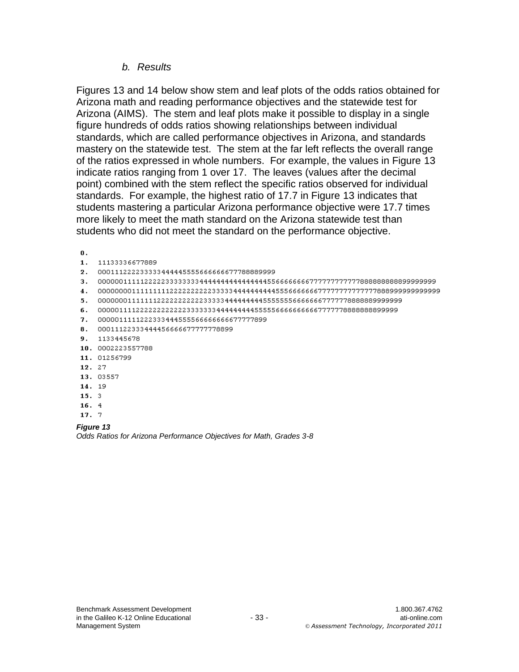### *b. Results*

Figures 13 and 14 below show stem and leaf plots of the odds ratios obtained for Arizona math and reading performance objectives and the statewide test for Arizona (AIMS). The stem and leaf plots make it possible to display in a single figure hundreds of odds ratios showing relationships between individual standards, which are called performance objectives in Arizona, and standards mastery on the statewide test. The stem at the far left reflects the overall range of the ratios expressed in whole numbers. For example, the values in Figure 13 indicate ratios ranging from 1 over 17. The leaves (values after the decimal point) combined with the stem reflect the specific ratios observed for individual standards. For example, the highest ratio of 17.7 in Figure 13 indicates that students mastering a particular Arizona performance objective were 17.7 times more likely to meet the math standard on the Arizona statewide test than students who did not meet the standard on the performance objective.

 $\mathbf 0$  . 1. 11133336677889 2. 000111222233333444445555666666677788889999 5. 00000001111111222222222233333444444444555555566666667777778888889999999 6. 0000011112222222222333333444444444555556666666667777778888888899999 7. 0000011111222333444555566666666677777899 8. 00011122333444456666677777778899 9. 1133445678 10. 0002223557788 11. 01256799 12. 27 13. 03557 14. 19  $15.3$  $16.4$ 17. 7

*Figure 13 Odds Ratios for Arizona Performance Objectives for Math, Grades 3-8*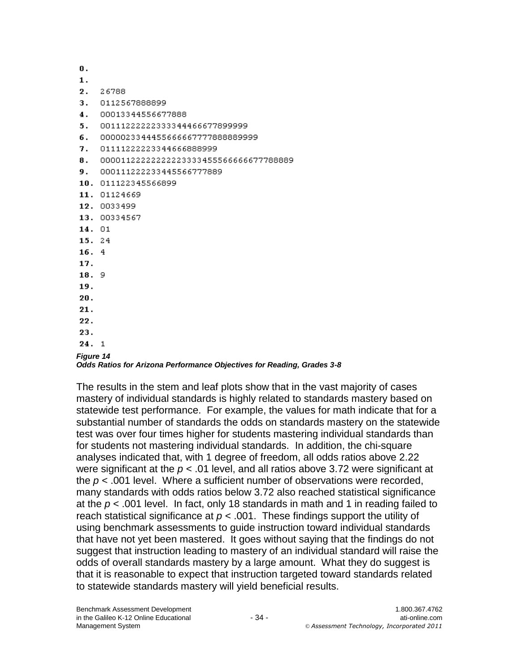0.  $\mathbf{1}$ . 2. 26788 3. 0112567888899 4. 00013344556677888 5. 00111222222333344466677899999 б. 0000023344455666667777888889999  $\overline{7}$ . 01111222223344666888999 8. 0000112222222223333455566666677788889 9. 000111222233445566777889 10. 011122345566899 11. 01124669 12. 0033499 13. 00334567 14. 01 15.24  $16.4$ 17. 18.9 19. 20.  $21.$ 22. 23.

### $24.1$

#### *Figure 14*

#### *Odds Ratios for Arizona Performance Objectives for Reading, Grades 3-8*

The results in the stem and leaf plots show that in the vast majority of cases mastery of individual standards is highly related to standards mastery based on statewide test performance. For example, the values for math indicate that for a substantial number of standards the odds on standards mastery on the statewide test was over four times higher for students mastering individual standards than for students not mastering individual standards. In addition, the chi-square analyses indicated that, with 1 degree of freedom, all odds ratios above 2.22 were significant at the *p* < .01 level, and all ratios above 3.72 were significant at the  $p < .001$  level. Where a sufficient number of observations were recorded, many standards with odds ratios below 3.72 also reached statistical significance at the *p* < .001 level. In fact, only 18 standards in math and 1 in reading failed to reach statistical significance at  $p < .001$ . These findings support the utility of using benchmark assessments to guide instruction toward individual standards that have not yet been mastered. It goes without saying that the findings do not suggest that instruction leading to mastery of an individual standard will raise the odds of overall standards mastery by a large amount. What they do suggest is that it is reasonable to expect that instruction targeted toward standards related to statewide standards mastery will yield beneficial results.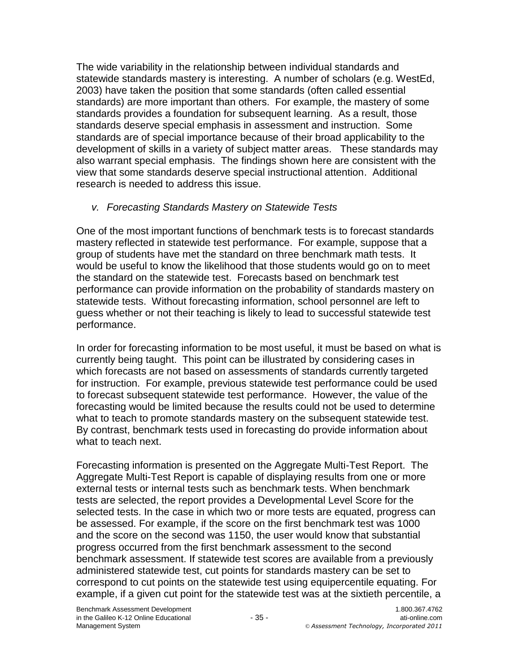The wide variability in the relationship between individual standards and statewide standards mastery is interesting. A number of scholars (e.g. WestEd, 2003) have taken the position that some standards (often called essential standards) are more important than others. For example, the mastery of some standards provides a foundation for subsequent learning. As a result, those standards deserve special emphasis in assessment and instruction. Some standards are of special importance because of their broad applicability to the development of skills in a variety of subject matter areas. These standards may also warrant special emphasis. The findings shown here are consistent with the view that some standards deserve special instructional attention. Additional research is needed to address this issue.

## *v. Forecasting Standards Mastery on Statewide Tests*

One of the most important functions of benchmark tests is to forecast standards mastery reflected in statewide test performance. For example, suppose that a group of students have met the standard on three benchmark math tests. It would be useful to know the likelihood that those students would go on to meet the standard on the statewide test. Forecasts based on benchmark test performance can provide information on the probability of standards mastery on statewide tests. Without forecasting information, school personnel are left to guess whether or not their teaching is likely to lead to successful statewide test performance.

In order for forecasting information to be most useful, it must be based on what is currently being taught. This point can be illustrated by considering cases in which forecasts are not based on assessments of standards currently targeted for instruction. For example, previous statewide test performance could be used to forecast subsequent statewide test performance. However, the value of the forecasting would be limited because the results could not be used to determine what to teach to promote standards mastery on the subsequent statewide test. By contrast, benchmark tests used in forecasting do provide information about what to teach next.

Forecasting information is presented on the Aggregate Multi-Test Report. The Aggregate Multi-Test Report is capable of displaying results from one or more external tests or internal tests such as benchmark tests. When benchmark tests are selected, the report provides a Developmental Level Score for the selected tests. In the case in which two or more tests are equated, progress can be assessed. For example, if the score on the first benchmark test was 1000 and the score on the second was 1150, the user would know that substantial progress occurred from the first benchmark assessment to the second benchmark assessment. If statewide test scores are available from a previously administered statewide test, cut points for standards mastery can be set to correspond to cut points on the statewide test using equipercentile equating. For example, if a given cut point for the statewide test was at the sixtieth percentile, a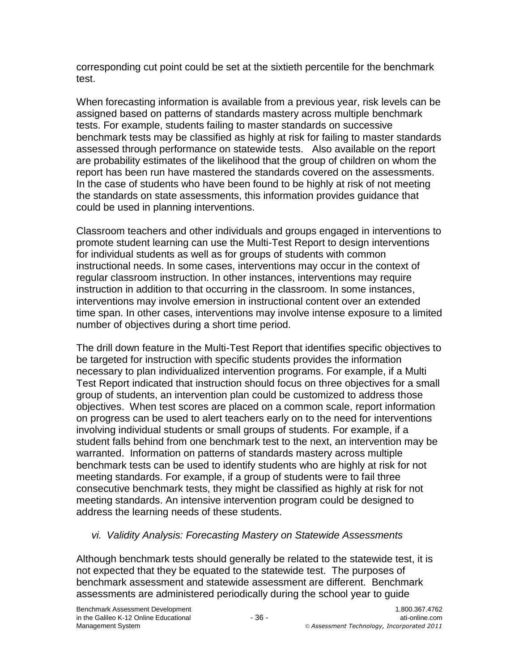corresponding cut point could be set at the sixtieth percentile for the benchmark test.

When forecasting information is available from a previous year, risk levels can be assigned based on patterns of standards mastery across multiple benchmark tests. For example, students failing to master standards on successive benchmark tests may be classified as highly at risk for failing to master standards assessed through performance on statewide tests. Also available on the report are probability estimates of the likelihood that the group of children on whom the report has been run have mastered the standards covered on the assessments. In the case of students who have been found to be highly at risk of not meeting the standards on state assessments, this information provides guidance that could be used in planning interventions.

Classroom teachers and other individuals and groups engaged in interventions to promote student learning can use the Multi-Test Report to design interventions for individual students as well as for groups of students with common instructional needs. In some cases, interventions may occur in the context of regular classroom instruction. In other instances, interventions may require instruction in addition to that occurring in the classroom. In some instances, interventions may involve emersion in instructional content over an extended time span. In other cases, interventions may involve intense exposure to a limited number of objectives during a short time period.

The drill down feature in the Multi-Test Report that identifies specific objectives to be targeted for instruction with specific students provides the information necessary to plan individualized intervention programs. For example, if a Multi Test Report indicated that instruction should focus on three objectives for a small group of students, an intervention plan could be customized to address those objectives. When test scores are placed on a common scale, report information on progress can be used to alert teachers early on to the need for interventions involving individual students or small groups of students. For example, if a student falls behind from one benchmark test to the next, an intervention may be warranted. Information on patterns of standards mastery across multiple benchmark tests can be used to identify students who are highly at risk for not meeting standards. For example, if a group of students were to fail three consecutive benchmark tests, they might be classified as highly at risk for not meeting standards. An intensive intervention program could be designed to address the learning needs of these students.

# *vi. Validity Analysis: Forecasting Mastery on Statewide Assessments*

Although benchmark tests should generally be related to the statewide test, it is not expected that they be equated to the statewide test. The purposes of benchmark assessment and statewide assessment are different. Benchmark assessments are administered periodically during the school year to guide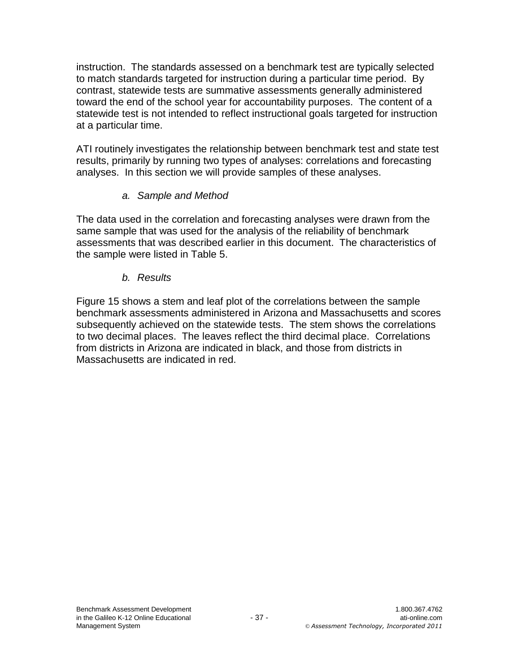instruction. The standards assessed on a benchmark test are typically selected to match standards targeted for instruction during a particular time period. By contrast, statewide tests are summative assessments generally administered toward the end of the school year for accountability purposes. The content of a statewide test is not intended to reflect instructional goals targeted for instruction at a particular time.

ATI routinely investigates the relationship between benchmark test and state test results, primarily by running two types of analyses: correlations and forecasting analyses. In this section we will provide samples of these analyses.

## *a. Sample and Method*

The data used in the correlation and forecasting analyses were drawn from the same sample that was used for the analysis of the reliability of benchmark assessments that was described earlier in this document. The characteristics of the sample were listed in Table 5.

## *b. Results*

Figure 15 shows a stem and leaf plot of the correlations between the sample benchmark assessments administered in Arizona and Massachusetts and scores subsequently achieved on the statewide tests. The stem shows the correlations to two decimal places. The leaves reflect the third decimal place. Correlations from districts in Arizona are indicated in black, and those from districts in Massachusetts are indicated in red.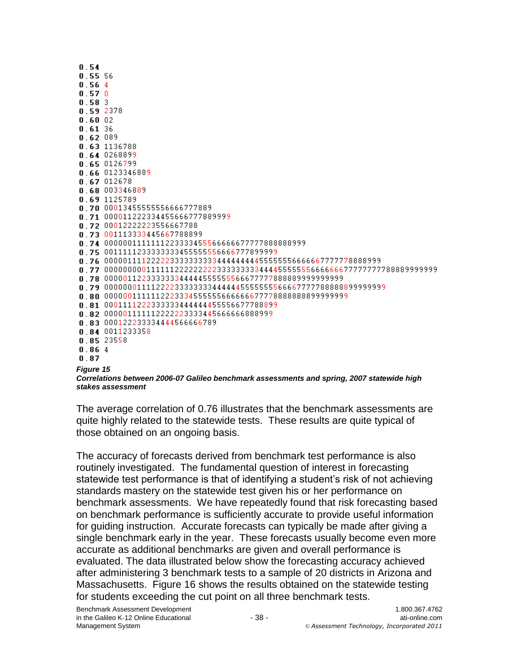| 0.54             |                                                                                                 |
|------------------|-------------------------------------------------------------------------------------------------|
| 0.55.56          |                                                                                                 |
| 0.564            |                                                                                                 |
| 0.570            |                                                                                                 |
| 0.583            |                                                                                                 |
|                  | 0.592378                                                                                        |
| $0.60$ 02        |                                                                                                 |
| 0.61.36          |                                                                                                 |
|                  | 0.62089                                                                                         |
|                  | 0.63 1136788                                                                                    |
|                  | 0.640268899                                                                                     |
|                  | $0.65$ $0126799$                                                                                |
|                  | 0.66 0123346889                                                                                 |
|                  | $0.67$ 012678                                                                                   |
|                  | 0.68 003346889                                                                                  |
|                  | 0.69 1125789                                                                                    |
|                  | 0.70 00013455555556666777889                                                                    |
|                  | 0.71 000011222334455666777889999                                                                |
|                  | n 72 00012222223556667788                                                                       |
|                  | 0 73 001113333445667788899                                                                      |
|                  | 0.74 00000011111112233334555666666777778888888999<br>0.75 0011111233333333455555556666777899999 |
|                  | 0.76 0000011112222233333333344444444455555556666667777778888999                                 |
|                  | n 77 00000000011111122222222333333334444555555566666667777777788889999999                       |
|                  | 0.78 000001122333333344444555555566677777888889999999999                                        |
|                  | 0 79 000000011112222333333344444455555555666677777888888899999999                               |
|                  |                                                                                                 |
|                  | 0.81 0001111222333333444444455556677788899                                                      |
|                  | n 82 000001111112222223333445666666888999                                                       |
|                  | 0.83 000122233334444566666789                                                                   |
|                  | 0.84 0011233358                                                                                 |
|                  | 0.85 23558                                                                                      |
| 0.864            |                                                                                                 |
| 0.87             |                                                                                                 |
| <b>Figure 15</b> |                                                                                                 |

*Correlations between 2006-07 Galileo benchmark assessments and spring, 2007 statewide high stakes assessment*

The average correlation of 0.76 illustrates that the benchmark assessments are quite highly related to the statewide tests. These results are quite typical of those obtained on an ongoing basis.

The accuracy of forecasts derived from benchmark test performance is also routinely investigated. The fundamental question of interest in forecasting statewide test performance is that of identifying a student's risk of not achieving standards mastery on the statewide test given his or her performance on benchmark assessments. We have repeatedly found that risk forecasting based on benchmark performance is sufficiently accurate to provide useful information for guiding instruction. Accurate forecasts can typically be made after giving a single benchmark early in the year. These forecasts usually become even more accurate as additional benchmarks are given and overall performance is evaluated. The data illustrated below show the forecasting accuracy achieved after administering 3 benchmark tests to a sample of 20 districts in Arizona and Massachusetts. Figure 16 shows the results obtained on the statewide testing for students exceeding the cut point on all three benchmark tests.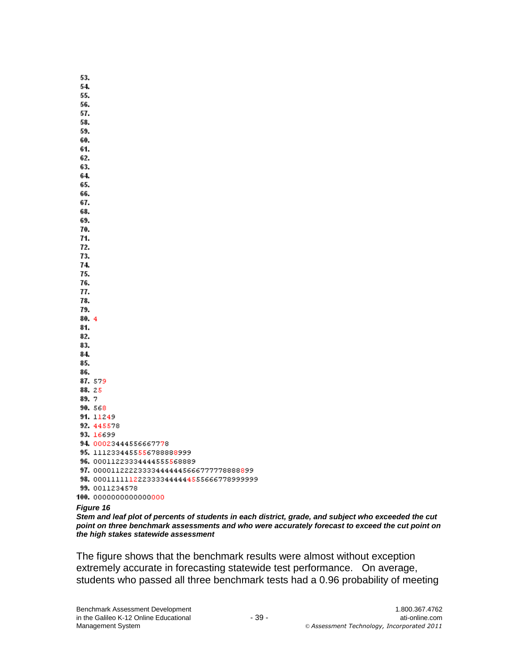53. 54. 55. 56. 57. 58. 59. 60. 61. 62. 63. 64. 65. 66. 67. 68. 69. 70. 71. 72. 73. 74. 75. 76. 77. 78. 79.  $80.4$ 81. 82. 83. 84. 85. 86. 87.579 88.25 89.7 90.568 91. 11249 92.445578 93.16699 94.00023444556667778 95. 11123344555567888889999 96. 00011223334444555568889 97. 000011222233334444445666777778888899 98.0001111112223333444444555666778999999 99. 0011234578 100. 00000000000000000

#### *Figure 16*

*Stem and leaf plot of percents of students in each district, grade, and subject who exceeded the cut point on three benchmark assessments and who were accurately forecast to exceed the cut point on the high stakes statewide assessment*

The figure shows that the benchmark results were almost without exception extremely accurate in forecasting statewide test performance. On average, students who passed all three benchmark tests had a 0.96 probability of meeting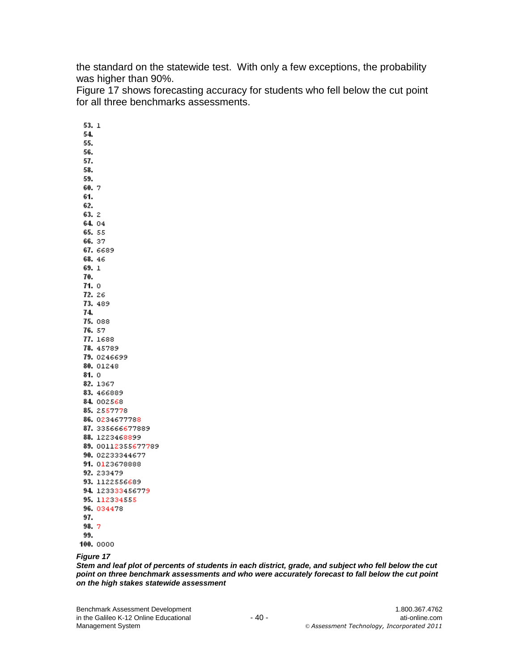the standard on the statewide test. With only a few exceptions, the probability was higher than 90%.

Figure 17 shows forecasting accuracy for students who fell below the cut point for all three benchmarks assessments.

 $53.1$ 54. 55. 56. 57. 58. 59. 60.7 61. 62.  $63.2$ 64.04 65.55 66.37 67. 6689 68.46 69.1 70.  $71.0$ 72.26 73.489 74. 75.088 76.57 77. 1688 78. 45789 79. 0246699 80. 01248  $81.0$ 82.1367 83.466889 84.002568 85.2557778 86. 0234677788 87. 335666677889 88.1223468899 89. 00112355677789 90. 02233344677 91. 0123678888 92. 233479 93. 1122556689 94.123333456779 95.112334555 96.034478 97. 98.7 99.

#### 100. 0000

#### *Figure 17*

*Stem and leaf plot of percents of students in each district, grade, and subject who fell below the cut point on three benchmark assessments and who were accurately forecast to fall below the cut point on the high stakes statewide assessment*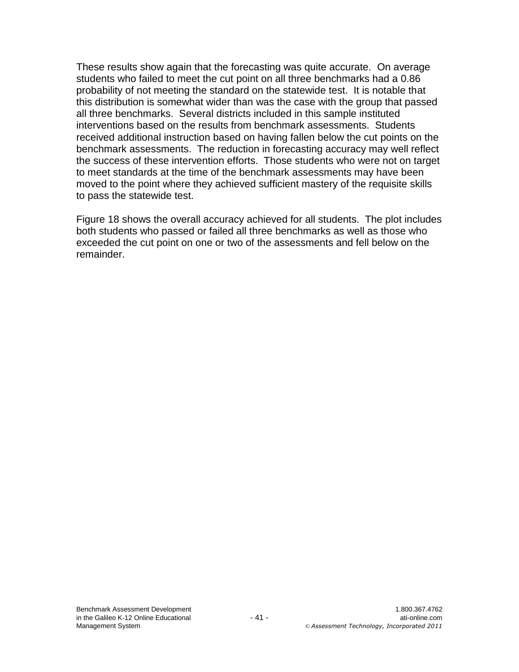These results show again that the forecasting was quite accurate. On average students who failed to meet the cut point on all three benchmarks had a 0.86 probability of not meeting the standard on the statewide test. It is notable that this distribution is somewhat wider than was the case with the group that passed all three benchmarks. Several districts included in this sample instituted interventions based on the results from benchmark assessments. Students received additional instruction based on having fallen below the cut points on the benchmark assessments. The reduction in forecasting accuracy may well reflect the success of these intervention efforts. Those students who were not on target to meet standards at the time of the benchmark assessments may have been moved to the point where they achieved sufficient mastery of the requisite skills to pass the statewide test.

Figure 18 shows the overall accuracy achieved for all students. The plot includes both students who passed or failed all three benchmarks as well as those who exceeded the cut point on one or two of the assessments and fell below on the remainder.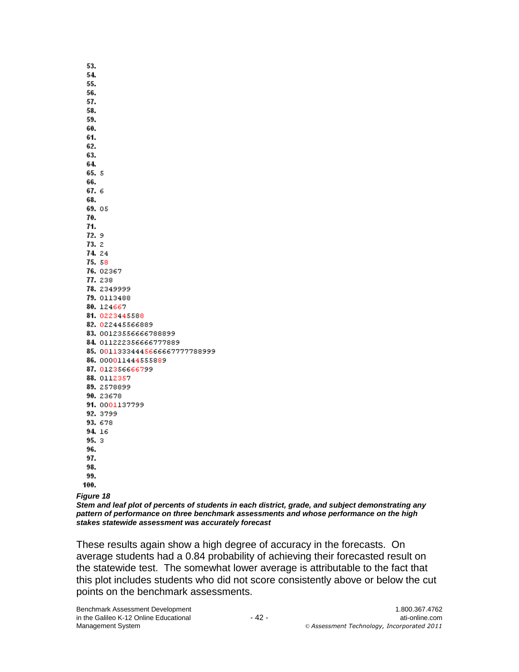| 53.    |                                |
|--------|--------------------------------|
| 54.    |                                |
| 55.    |                                |
| 56.    |                                |
| 57.    |                                |
| 58.    |                                |
| 59.    |                                |
| 60.    |                                |
| 61.    |                                |
| 62.    |                                |
| 63.    |                                |
| 64.    |                                |
| 65. 5  |                                |
| 66.    |                                |
| 67. 6  |                                |
| 68.    |                                |
| 69.05  |                                |
| 70.    |                                |
| 71.    |                                |
| 72. 9  |                                |
| 73. 2  |                                |
| 74. 24 |                                |
| 75.58  |                                |
|        | 76. 02367                      |
|        | 77.238                         |
|        | 78. 2349999                    |
|        | 79. 0113488                    |
|        | 80.124667                      |
|        | 81. 0223445588                 |
|        | 82. 022445566889               |
|        | 83. 00123556666788899          |
|        | 84.011222356666777889          |
|        | 85. 00113334445666667777788999 |
|        | 86. 000011444555889            |
|        | 87. 012356666799               |
|        | 88.0112357                     |
|        | 89.2578899                     |
|        | 90.23678                       |
|        | 91. 0001137799                 |
|        | 92.3799                        |
|        | 93.678                         |
| 94. 16 |                                |
| 95.3   |                                |
| 96.    |                                |
| 97.    |                                |
| 98.    |                                |
| 99.    |                                |
| 100.   |                                |
|        |                                |

*Figure 18*

*Stem and leaf plot of percents of students in each district, grade, and subject demonstrating any pattern of performance on three benchmark assessments and whose performance on the high stakes statewide assessment was accurately forecast*

These results again show a high degree of accuracy in the forecasts. On average students had a 0.84 probability of achieving their forecasted result on the statewide test. The somewhat lower average is attributable to the fact that this plot includes students who did not score consistently above or below the cut points on the benchmark assessments.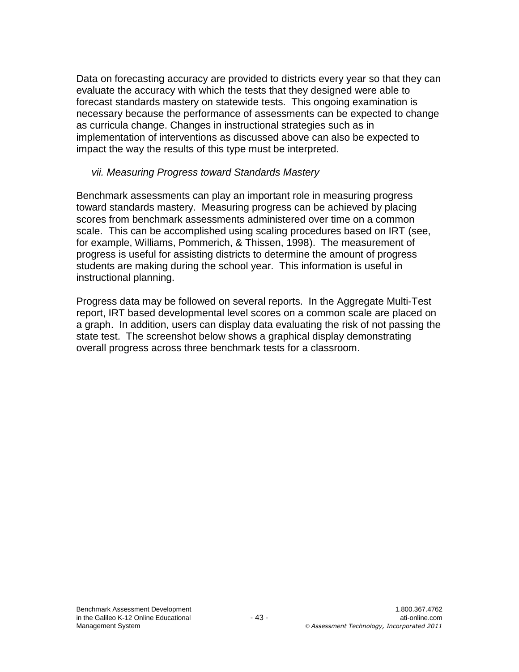Data on forecasting accuracy are provided to districts every year so that they can evaluate the accuracy with which the tests that they designed were able to forecast standards mastery on statewide tests. This ongoing examination is necessary because the performance of assessments can be expected to change as curricula change. Changes in instructional strategies such as in implementation of interventions as discussed above can also be expected to impact the way the results of this type must be interpreted.

### *vii. Measuring Progress toward Standards Mastery*

Benchmark assessments can play an important role in measuring progress toward standards mastery. Measuring progress can be achieved by placing scores from benchmark assessments administered over time on a common scale. This can be accomplished using scaling procedures based on IRT (see, for example, Williams, Pommerich, & Thissen, 1998). The measurement of progress is useful for assisting districts to determine the amount of progress students are making during the school year. This information is useful in instructional planning.

Progress data may be followed on several reports. In the Aggregate Multi-Test report, IRT based developmental level scores on a common scale are placed on a graph. In addition, users can display data evaluating the risk of not passing the state test. The screenshot below shows a graphical display demonstrating overall progress across three benchmark tests for a classroom.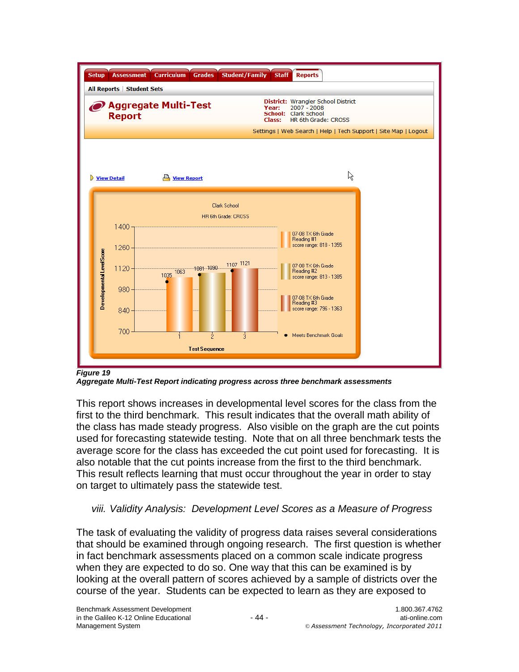

*Figure 19*

*Aggregate Multi-Test Report indicating progress across three benchmark assessments*

This report shows increases in developmental level scores for the class from the first to the third benchmark. This result indicates that the overall math ability of the class has made steady progress. Also visible on the graph are the cut points used for forecasting statewide testing. Note that on all three benchmark tests the average score for the class has exceeded the cut point used for forecasting. It is also notable that the cut points increase from the first to the third benchmark. This result reflects learning that must occur throughout the year in order to stay on target to ultimately pass the statewide test.

### *viii. Validity Analysis: Development Level Scores as a Measure of Progress*

The task of evaluating the validity of progress data raises several considerations that should be examined through ongoing research. The first question is whether in fact benchmark assessments placed on a common scale indicate progress when they are expected to do so. One way that this can be examined is by looking at the overall pattern of scores achieved by a sample of districts over the course of the year. Students can be expected to learn as they are exposed to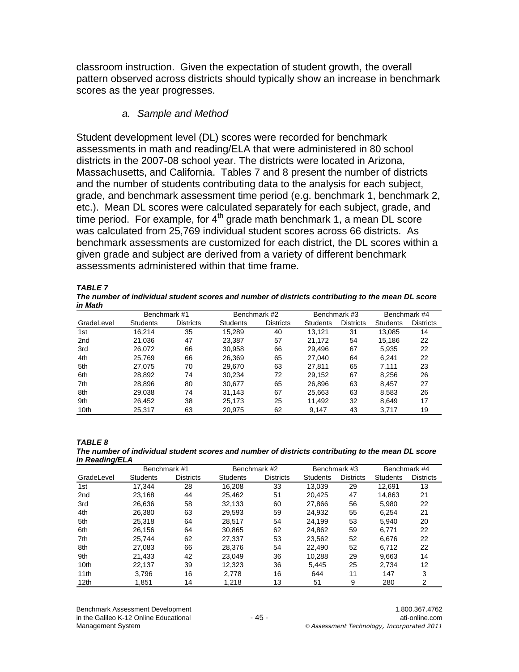classroom instruction. Given the expectation of student growth, the overall pattern observed across districts should typically show an increase in benchmark scores as the year progresses.

### *a. Sample and Method*

Student development level (DL) scores were recorded for benchmark assessments in math and reading/ELA that were administered in 80 school districts in the 2007-08 school year. The districts were located in Arizona, Massachusetts, and California. Tables 7 and 8 present the number of districts and the number of students contributing data to the analysis for each subject, grade, and benchmark assessment time period (e.g. benchmark 1, benchmark 2, etc.). Mean DL scores were calculated separately for each subject, grade, and time period. For example, for  $4<sup>th</sup>$  grade math benchmark 1, a mean DL score was calculated from 25,769 individual student scores across 66 districts. As benchmark assessments are customized for each district, the DL scores within a given grade and subject are derived from a variety of different benchmark assessments administered within that time frame.

*TABLE 7* 

*The number of individual student scores and number of districts contributing to the mean DL score in Math*

|                 | Benchmark #1<br>Benchmark #2 |                  |          | Benchmark #3     |                 | Benchmark #4     |                 |                  |
|-----------------|------------------------------|------------------|----------|------------------|-----------------|------------------|-----------------|------------------|
| GradeLevel      | <b>Students</b>              | <b>Districts</b> | Students | <b>Districts</b> | <b>Students</b> | <b>Districts</b> | <b>Students</b> | <b>Districts</b> |
| 1st             | 16.214                       | 35               | 15.289   | 40               | 13.121          | 31               | 13.085          | 14               |
| 2 <sub>nd</sub> | 21.036                       | 47               | 23.387   | 57               | 21.172          | 54               | 15.186          | 22               |
| 3rd             | 26.072                       | 66               | 30.958   | 66               | 29.496          | 67               | 5.935           | 22               |
| 4th             | 25.769                       | 66               | 26.369   | 65               | 27.040          | 64               | 6.241           | 22               |
| 5th             | 27.075                       | 70               | 29.670   | 63               | 27.811          | 65               | 7.111           | 23               |
| 6th             | 28.892                       | 74               | 30.234   | 72               | 29.152          | 67               | 8.256           | 26               |
| 7th             | 28.896                       | 80               | 30,677   | 65               | 26,896          | 63               | 8.457           | 27               |
| 8th             | 29.038                       | 74               | 31.143   | 67               | 25,663          | 63               | 8.583           | 26               |
| 9th             | 26.452                       | 38               | 25.173   | 25               | 11.492          | 32               | 8.649           | 17               |
| 10th            | 25,317                       | 63               | 20.975   | 62               | 9,147           | 43               | 3.717           | 19               |

*TABLE 8 The number of individual student scores and number of districts contributing to the mean DL score in Reading/ELA*

|                  | Benchmark #1    |                  | Benchmark #2    |                  | Benchmark #3    |                  | Benchmark #4    |                  |
|------------------|-----------------|------------------|-----------------|------------------|-----------------|------------------|-----------------|------------------|
| GradeLevel       | <b>Students</b> | <b>Districts</b> | <b>Students</b> | <b>Districts</b> | <b>Students</b> | <b>Districts</b> | <b>Students</b> | <b>Districts</b> |
| 1st              | 17.344          | 28               | 16.208          | 33               | 13.039          | 29               | 12.691          | 13               |
| 2 <sub>nd</sub>  | 23.168          | 44               | 25.462          | 51               | 20.425          | 47               | 14.863          | 21               |
| 3rd              | 26.636          | 58               | 32.133          | 60               | 27.866          | 56               | 5.980           | 22               |
| 4th              | 26.380          | 63               | 29.593          | 59               | 24.932          | 55               | 6.254           | 21               |
| 5th              | 25.318          | 64               | 28.517          | 54               | 24.199          | 53               | 5,940           | 20               |
| 6th              | 26.156          | 64               | 30.865          | 62               | 24.862          | 59               | 6.771           | 22               |
| 7th              | 25.744          | 62               | 27.337          | 53               | 23.562          | 52               | 6,676           | 22               |
| 8th              | 27.083          | 66               | 28.376          | 54               | 22,490          | 52               | 6.712           | 22               |
| 9th              | 21.433          | 42               | 23.049          | 36               | 10.288          | 29               | 9.663           | 14               |
| 10 <sub>th</sub> | 22.137          | 39               | 12.323          | 36               | 5.445           | 25               | 2.734           | 12               |
| 11th             | 3.796           | 16               | 2.778           | 16               | 644             | 11               | 147             | 3                |
| 12 <sub>th</sub> | 1.851           | 14               | 1,218           | 13               | 51              | 9                | 280             |                  |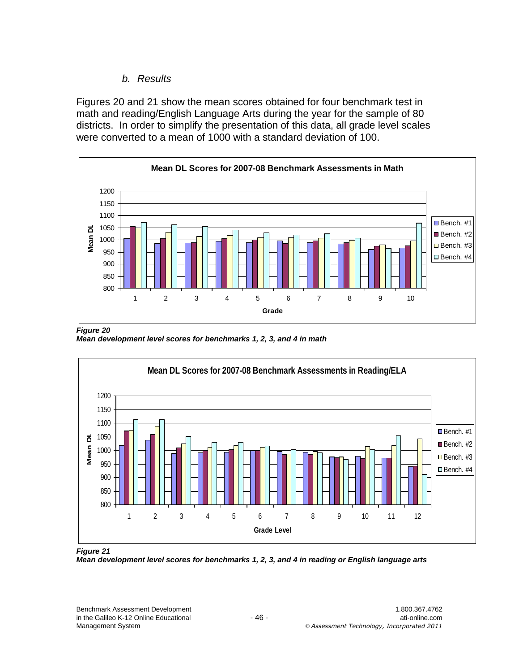## *b. Results*

Figures 20 and 21 show the mean scores obtained for four benchmark test in math and reading/English Language Arts during the year for the sample of 80 districts. In order to simplify the presentation of this data, all grade level scales were converted to a mean of 1000 with a standard deviation of 100.



*Figure 20 Mean development level scores for benchmarks 1, 2, 3, and 4 in math*



*Figure 21*

*Mean development level scores for benchmarks 1, 2, 3, and 4 in reading or English language arts*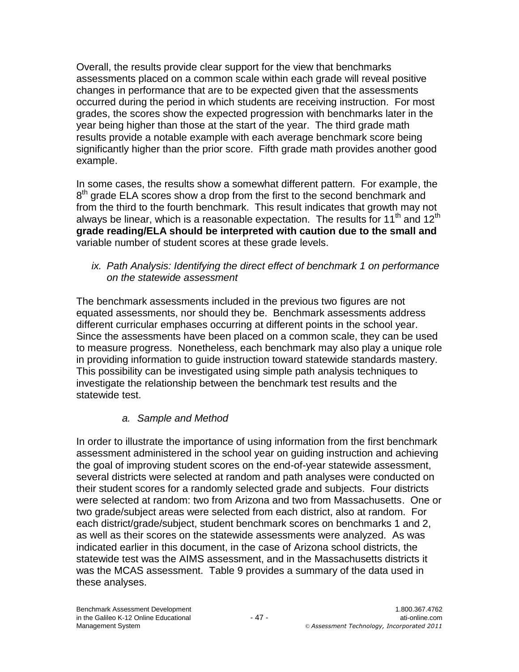Overall, the results provide clear support for the view that benchmarks assessments placed on a common scale within each grade will reveal positive changes in performance that are to be expected given that the assessments occurred during the period in which students are receiving instruction. For most grades, the scores show the expected progression with benchmarks later in the year being higher than those at the start of the year. The third grade math results provide a notable example with each average benchmark score being significantly higher than the prior score. Fifth grade math provides another good example.

In some cases, the results show a somewhat different pattern. For example, the 8<sup>th</sup> grade ELA scores show a drop from the first to the second benchmark and from the third to the fourth benchmark. This result indicates that growth may not always be linear, which is a reasonable expectation. The results for 11<sup>th</sup> and 12<sup>th</sup> **grade reading/ELA should be interpreted with caution due to the small and** variable number of student scores at these grade levels.

*ix. Path Analysis: Identifying the direct effect of benchmark 1 on performance on the statewide assessment*

The benchmark assessments included in the previous two figures are not equated assessments, nor should they be. Benchmark assessments address different curricular emphases occurring at different points in the school year. Since the assessments have been placed on a common scale, they can be used to measure progress. Nonetheless, each benchmark may also play a unique role in providing information to guide instruction toward statewide standards mastery. This possibility can be investigated using simple path analysis techniques to investigate the relationship between the benchmark test results and the statewide test.

# *a. Sample and Method*

In order to illustrate the importance of using information from the first benchmark assessment administered in the school year on guiding instruction and achieving the goal of improving student scores on the end-of-year statewide assessment, several districts were selected at random and path analyses were conducted on their student scores for a randomly selected grade and subjects. Four districts were selected at random: two from Arizona and two from Massachusetts. One or two grade/subject areas were selected from each district, also at random. For each district/grade/subject, student benchmark scores on benchmarks 1 and 2, as well as their scores on the statewide assessments were analyzed. As was indicated earlier in this document, in the case of Arizona school districts, the statewide test was the AIMS assessment, and in the Massachusetts districts it was the MCAS assessment. Table 9 provides a summary of the data used in these analyses.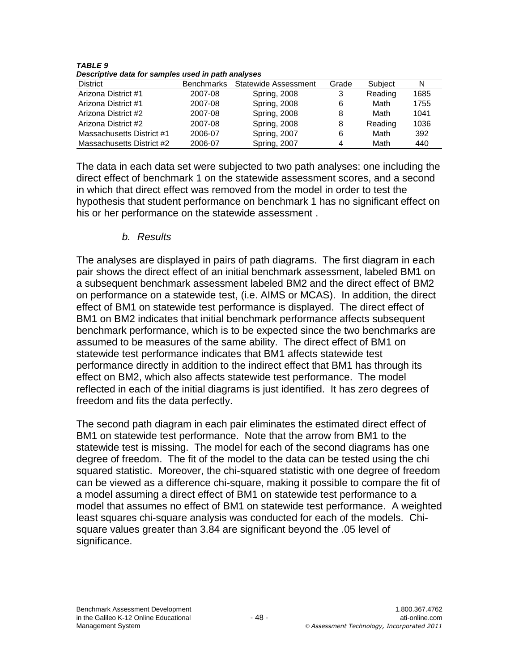*TABLE 9 Descriptive data for samples used in path analyses*

| ---------------           |                   |                      |       |         |      |  |  |  |  |
|---------------------------|-------------------|----------------------|-------|---------|------|--|--|--|--|
| <b>District</b>           | <b>Benchmarks</b> | Statewide Assessment | Grade | Subject | N    |  |  |  |  |
| Arizona District #1       | 2007-08           | <b>Spring, 2008</b>  | 3     | Reading | 1685 |  |  |  |  |
| Arizona District #1       | 2007-08           | <b>Spring, 2008</b>  | 6     | Math    | 1755 |  |  |  |  |
| Arizona District #2       | 2007-08           | <b>Spring, 2008</b>  | 8     | Math    | 1041 |  |  |  |  |
| Arizona District #2       | 2007-08           | <b>Spring, 2008</b>  | 8     | Reading | 1036 |  |  |  |  |
| Massachusetts District #1 | 2006-07           | Spring, 2007         | 6     | Math    | 392  |  |  |  |  |
| Massachusetts District #2 | 2006-07           | Spring, 2007         | 4     | Math    | 440  |  |  |  |  |

The data in each data set were subjected to two path analyses: one including the direct effect of benchmark 1 on the statewide assessment scores, and a second in which that direct effect was removed from the model in order to test the hypothesis that student performance on benchmark 1 has no significant effect on his or her performance on the statewide assessment .

### *b. Results*

The analyses are displayed in pairs of path diagrams. The first diagram in each pair shows the direct effect of an initial benchmark assessment, labeled BM1 on a subsequent benchmark assessment labeled BM2 and the direct effect of BM2 on performance on a statewide test, (i.e. AIMS or MCAS). In addition, the direct effect of BM1 on statewide test performance is displayed. The direct effect of BM1 on BM2 indicates that initial benchmark performance affects subsequent benchmark performance, which is to be expected since the two benchmarks are assumed to be measures of the same ability. The direct effect of BM1 on statewide test performance indicates that BM1 affects statewide test performance directly in addition to the indirect effect that BM1 has through its effect on BM2, which also affects statewide test performance. The model reflected in each of the initial diagrams is just identified. It has zero degrees of freedom and fits the data perfectly.

The second path diagram in each pair eliminates the estimated direct effect of BM1 on statewide test performance. Note that the arrow from BM1 to the statewide test is missing. The model for each of the second diagrams has one degree of freedom. The fit of the model to the data can be tested using the chi squared statistic. Moreover, the chi-squared statistic with one degree of freedom can be viewed as a difference chi-square, making it possible to compare the fit of a model assuming a direct effect of BM1 on statewide test performance to a model that assumes no effect of BM1 on statewide test performance. A weighted least squares chi-square analysis was conducted for each of the models. Chisquare values greater than 3.84 are significant beyond the .05 level of significance.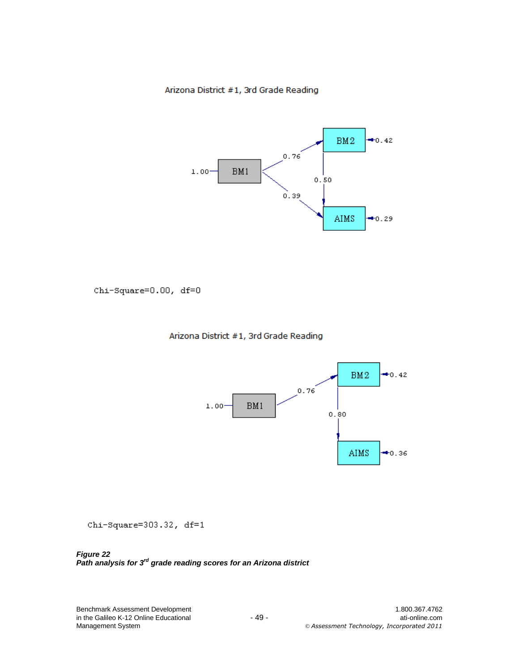#### Arizona District #1, 3rd Grade Reading



Chi-Square=0.00, df=0

#### Arizona District #1, 3rd Grade Reading



 $Chi-Square=303.32$ ,  $df=1$ 

*Figure 22 Path analysis for 3rd grade reading scores for an Arizona district*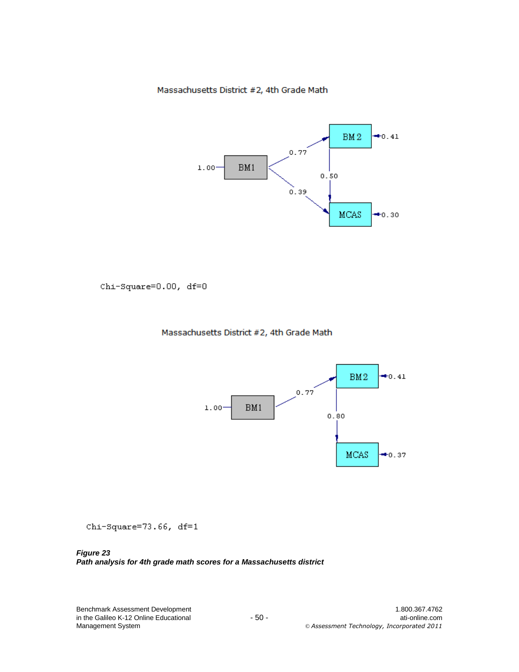Massachusetts District #2, 4th Grade Math



Chi-Square=0.00, df=0

#### Massachusetts District #2, 4th Grade Math



 $Chi-Square=73.66, df=1$ 

*Figure 23 Path analysis for 4th grade math scores for a Massachusetts district*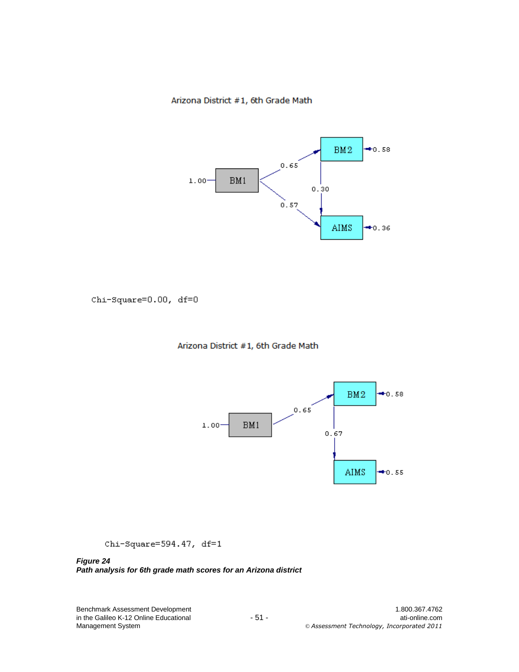#### Arizona District #1, 6th Grade Math



Chi-Square=0.00, df=0

#### Arizona District #1, 6th Grade Math



 $Chi-Square=594.47, df=1$ 

#### *Figure 24 Path analysis for 6th grade math scores for an Arizona district*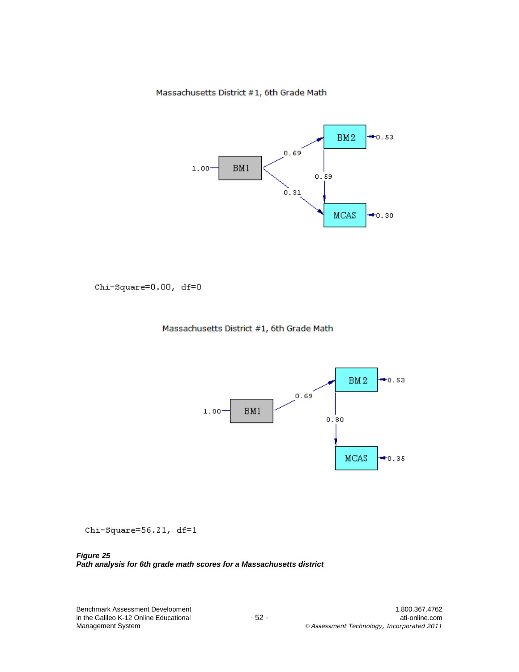Massachusetts District #1, 6th Grade Math



Chi-Square=0.00, df=0

#### Massachusetts District #1, 6th Grade Math



Chi-Square=56.21, df=1

*Figure 25 Path analysis for 6th grade math scores for a Massachusetts district*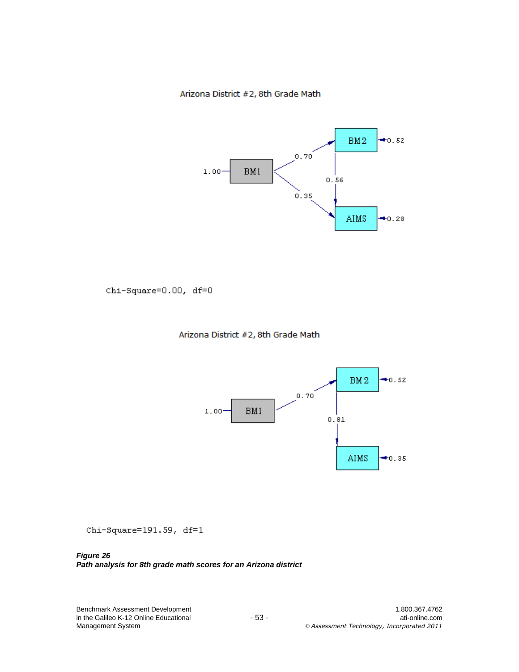Arizona District #2, 8th Grade Math



Chi-Square=0.00, df=0

#### Arizona District #2, 8th Grade Math



 $Chi-Square=191.59, df=1$ 

*Figure 26 Path analysis for 8th grade math scores for an Arizona district*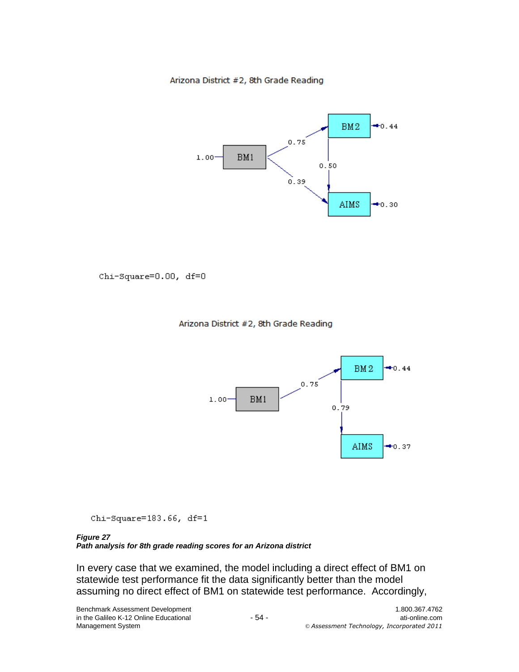Arizona District #2, 8th Grade Reading



Chi-Square=0.00, df=0





Chi-Square=183.66, df=1

#### *Figure 27*

*Path analysis for 8th grade reading scores for an Arizona district*

In every case that we examined, the model including a direct effect of BM1 on statewide test performance fit the data significantly better than the model assuming no direct effect of BM1 on statewide test performance. Accordingly,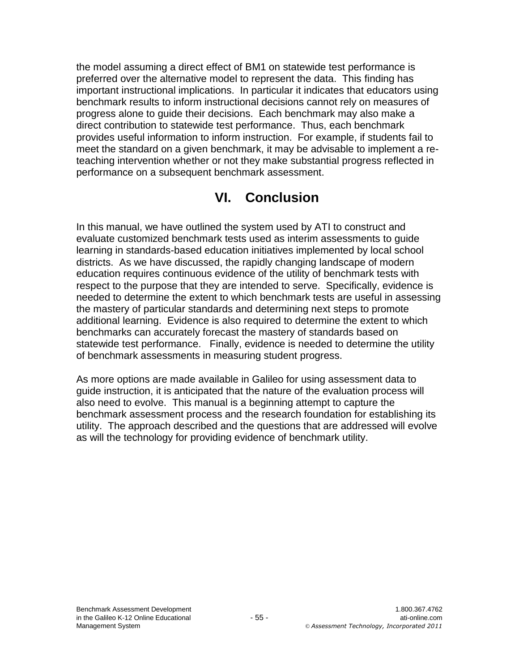the model assuming a direct effect of BM1 on statewide test performance is preferred over the alternative model to represent the data. This finding has important instructional implications. In particular it indicates that educators using benchmark results to inform instructional decisions cannot rely on measures of progress alone to guide their decisions. Each benchmark may also make a direct contribution to statewide test performance. Thus, each benchmark provides useful information to inform instruction. For example, if students fail to meet the standard on a given benchmark, it may be advisable to implement a reteaching intervention whether or not they make substantial progress reflected in performance on a subsequent benchmark assessment.

# **VI. Conclusion**

In this manual, we have outlined the system used by ATI to construct and evaluate customized benchmark tests used as interim assessments to guide learning in standards-based education initiatives implemented by local school districts. As we have discussed, the rapidly changing landscape of modern education requires continuous evidence of the utility of benchmark tests with respect to the purpose that they are intended to serve. Specifically, evidence is needed to determine the extent to which benchmark tests are useful in assessing the mastery of particular standards and determining next steps to promote additional learning. Evidence is also required to determine the extent to which benchmarks can accurately forecast the mastery of standards based on statewide test performance. Finally, evidence is needed to determine the utility of benchmark assessments in measuring student progress.

As more options are made available in Galileo for using assessment data to guide instruction, it is anticipated that the nature of the evaluation process will also need to evolve. This manual is a beginning attempt to capture the benchmark assessment process and the research foundation for establishing its utility. The approach described and the questions that are addressed will evolve as will the technology for providing evidence of benchmark utility.